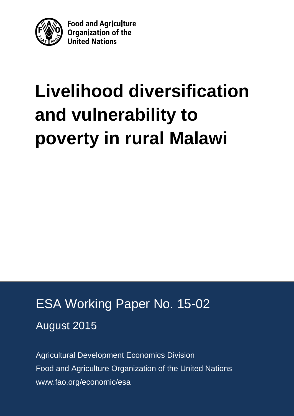

**Food and Agriculture Organization of the United Nations** 

# **Livelihood diversification and vulnerability to poverty in rural Malawi**

ESA Working Paper No. 15-02 August 2015

Agricultural Development Economics Division Food and Agriculture Organization of the United Nations www.fao.org/economic/esa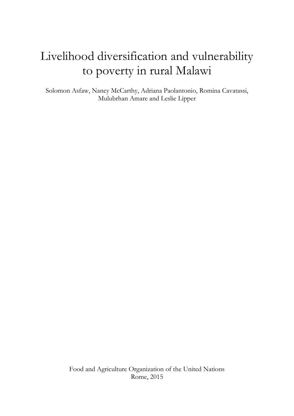# Livelihood diversification and vulnerability to poverty in rural Malawi

Solomon Asfaw, Nancy McCarthy, Adriana Paolantonio, Romina Cavatassi, Mulubrhan Amare and Leslie Lipper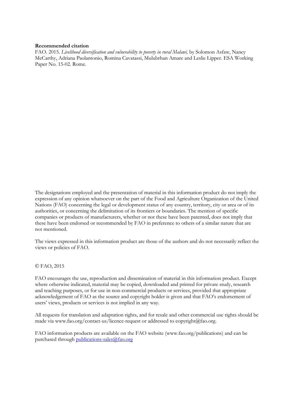#### **Recommended citation**

FAO. 2015. *Livelihood diversification and vulnerability to poverty in rural Malawi,* by Solomon Asfaw, Nancy McCarthy, Adriana Paolantonio, Romina Cavatassi, Mulubrhan Amare and Leslie Lipper. ESA Working Paper No. 15-02. Rome.

The designations employed and the presentation of material in this information product do not imply the expression of any opinion whatsoever on the part of the Food and Agriculture Organization of the United Nations (FAO) concerning the legal or development status of any country, territory, city or area or of its authorities, or concerning the delimitation of its frontiers or boundaries. The mention of specific companies or products of manufacturers, whether or not these have been patented, does not imply that these have been endorsed or recommended by FAO in preference to others of a similar nature that are not mentioned.

The views expressed in this information product are those of the authors and do not necessarily reflect the views or policies of FAO.

© FAO, 2015

FAO encourages the use, reproduction and dissemination of material in this information product. Except where otherwise indicated, material may be copied, downloaded and printed for private study, research and teaching purposes, or for use in non-commercial products or services, provided that appropriate acknowledgement of FAO as the source and copyright holder is given and that FAO's endorsement of users' views, products or services is not implied in any way.

All requests for translation and adaptation rights, and for resale and other commercial use rights should be made via www.fao.org/contact-us/licence-request or addressed to copyright@fao.org.

FAO information products are available on the FAO website (www.fao.org/publications) and can be purchased through [publications-sales@fao.org](mailto:publications-sales@fao.org)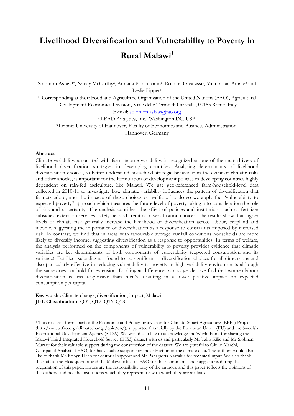# **Livelihood Diversification and Vulnerability to Poverty in Rural Malawi<sup>1</sup>**

Solomon Asfaw<sup>1\*</sup>, Nancy McCarthy<sup>2</sup>, Adriana Paolantonio<sup>1</sup>, Romina Cavatassi<sup>1</sup>, Mulubrhan Amare<sup>3</sup> and Leslie Lipper<sup>1</sup>

1\* Corresponding author: Food and Agriculture Organization of the United Nations (FAO), Agricultural Development Economics Division, Viale delle Terme di Caracalla, 00153 Rome, Italy

E-mail: [solomon.asfaw@fao.org](mailto:solomon.asfaw@fao.org)

<sup>2</sup>LEAD Analytics, Inc., Washington DC, USA

<sup>3</sup> Leibniz University of Hannover, Faculty of Economics and Business Administration,

Hannover, Germany

#### <span id="page-3-0"></span>**Abstract**

 $\overline{a}$ 

Climate variability, associated with farm-income variability, is recognized as one of the main drivers of livelihood diversification strategies in developing countries. Analysing determinants of livelihood diversification choices, to better understand household strategic behaviour in the event of climatic risks and other shocks, is important for the formulation of development policies in developing countries highly dependent on rain-fed agriculture, like Malawi. We use geo-referenced farm-household-level data collected in 2010-11 to investigate how climatic variability influences the pattern of diversification that farmers adopt, and the impacts of these choices on welfare. To do so we apply the "vulnerability to expected poverty" approach which measures the future level of poverty taking into consideration the role of risk and uncertainty. The analysis considers the effect of policies and institutions such as fertilizer subsidies, extension services, safety-net and credit on diversification choices. The results show that higher levels of climate risk generally increase the likelihood of diversification across labour, cropland and income, suggesting the importance of diversification as a response to constraints imposed by increased risk. In contrast, we find that in areas with favourable average rainfall conditions households are more likely to diversify income, suggesting diversification as a response to opportunities. In terms of welfare, the analysis performed on the components of vulnerability to poverty provides evidence that climatic variables are key determinants of both components of vulnerability (expected consumption and its variance). Fertilizer subsidies are found to be significant in diversification choices for all dimensions and also particularly effective in reducing vulnerability to poverty in high variability environments although the same does not hold for extension. Looking at differences across gender, we find that women labour diversification is less responsive than men's, resulting in a lower positive impact on expected consumption per capita.

**Key words:** Climate change, diversification, impact, Malawi **JEL Classification:** Q01, Q12, Q16, Q18

<sup>&</sup>lt;sup>1</sup> This research forms part of the Economic and Policy Innovation for Climate-Smart Agriculture (EPIC) Project [\(http://www.fao.org/climatechange/epic/en/\)](http://www.fao.org/climatechange/epic/en/), supported financially by the European Union (EU) and the Swedish International Development Agency (SIDA). We would also like to acknowledge the World Bank for sharing the Malawi Third Integrated Household Survey (IHS3) dataset with us and particularly Mr Talip Kilic and Ms Siobhan Murray for their valuable support during the construction of the dataset. We are grateful to Giulio Marchi, Geospatial Analyst at FAO, for his valuable support for the extraction of the climate data. The authors would also like to thank Ms Robyn Hean for editorial support and Mr Panagiotis Karfakis for technical input. We also thank the staff at the Headquarters and the Malawi office of FAO for their comments and suggestions during the preparation of this paper. Errors are the responsibility only of the authors, and this paper reflects the opinions of the authors, and not the institutions which they represent or with which they are affiliated.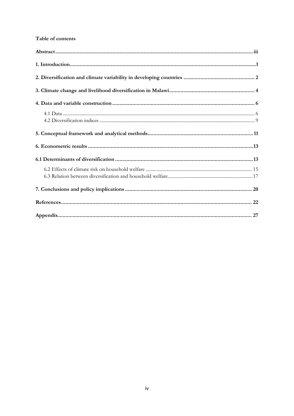### Table of contents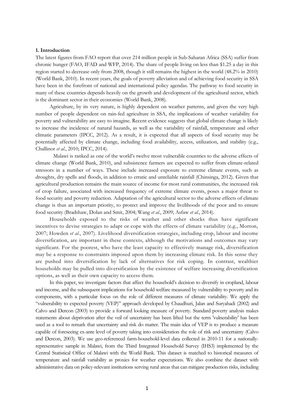#### <span id="page-5-0"></span>**1. Introduction**

The latest figures from FAO report that over 214 million people in Sub-Saharan Africa (SSA) suffer from chronic hunger (FAO, IFAD and WFP, 2014). The share of people living on less than \$1.25 a day in this region started to decrease only from 2008, though it still remains the highest in the world (48.2% in 2010) (World Bank, 2010). In recent years, the goals of poverty alleviation and of achieving food security in SSA have been in the forefront of national and international policy agendas. The pathway to food security in many of these countries depends heavily on the growth and development of the agricultural sector, which is the dominant sector in their economies (World Bank, 2008).

Agriculture, by its very nature, is highly dependent on weather patterns, and given the very high number of people dependent on rain-fed agriculture in SSA, the implications of weather variability for poverty and vulnerability are easy to imagine. Recent evidence suggests that global climate change is likely to increase the incidence of natural hazards, as well as the variability of rainfall, temperature and other climatic parameters (IPCC, 2012). As a result, it is expected that all aspects of food security may be potentially affected by climate change, including food availability, access, utilization, and stability (e.g., Challinor *et al*., 2010; IPCC, 2014).

Malawi is ranked as one of the world's twelve most vulnerable countries to the adverse effects of climate change (World Bank, 2010), and subsistence farmers are expected to suffer from climate-related stressors in a number of ways. These include increased exposure to extreme climate events, such as droughts, dry spells and floods, in addition to erratic and unreliable rainfall (Chinsinga, 2012). Given that agricultural production remains the main source of income for most rural communities, the increased risk of crop failure, associated with increased frequency of extreme climate events, poses a major threat to food security and poverty reduction. Adaptation of the agricultural sector to the adverse effects of climate change is thus an important priority, to protect and improve the livelihoods of the poor and to ensure food security (Bradshaw, Dolan and Smit, 2004; Wang *et al*., 2009; Asfaw *et al*., 2014).

Households exposed to the risks of weather and other shocks thus have significant incentives to devise strategies to adapt or cope with the effects of climate variability (e.g., Morton, 2007; Howden *et al*., 2007). Livelihood diversification strategies, including crop, labour and income diversification, are important in these contexts, although the motivations and outcomes may vary significant. For the poorest, who have the least capacity to effectively manage risk, diversification may be a response to constraints imposed upon them by increasing climate risk. In this sense they are pushed into diversification by lack of alternatives for risk coping. In contrast, wealthier households may be pulled into diversification by the existence of welfare increasing diversification options, as well as their own capacity to access them.

In this paper, we investigate factors that affect the household's decision to diversify in cropland, labour and income, and the subsequent implications for household welfare measured by vulnerability to poverty and its components, with a particular focus on the role of different measures of climate variability. We apply the "vulnerability to expected poverty (VEP)" approach developed by Chaudhuri, Jalan and Suryahadi (2002) and Calvo and Dercon (2003) to provide a forward looking measure of poverty. Standard poverty analysis makes statements about deprivation after the veil of uncertainty has been lifted but the term 'vulnerability' has been used as a tool to remark that uncertainty and risk do matter. The main idea of VEP is to produce a measure capable of foreseeing ex-ante level of poverty taking into consideration the role of risk and uncertainty (Calvo and Dercon, 2003). We use geo-referenced farm-household-level data collected in 2010-11 for a nationallyrepresentative sample in Malawi, from the Third Integrated Household Survey (IHS3) implemented by the Central Statistical Office of Malawi with the World Bank. This dataset is matched to historical measures of temperature and rainfall variability as proxies for weather expectations. We also combine the dataset with administrative data on policy-relevant institutions serving rural areas that can mitigate production risks, including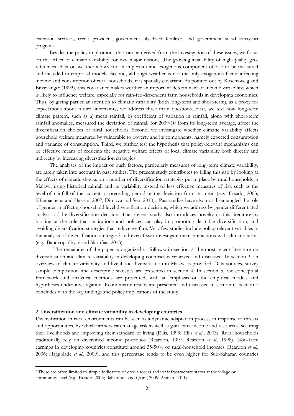extension services, credit providers, government-subsidized fertilizer, and government social safety-net programs.

Besides the policy implications that can be derived from the investigation of these issues, we focus on the effect of climate variability for two major reasons. The growing availability of high-quality georeferenced data on weather allows for an important and exogenous component of risk to be measured and included in empirical models. Second, although weather is not the only exogenous factor affecting income and consumption of rural households, it is spatially covariant. As pointed out by Rosenzweig and Binswanger (1993), this covariance makes weather an important determinant of income variability, which is likely to influence welfare, especially for rain-fed-dependent farm households in developing economies. Thus, by giving particular attention to climatic variability (both long-term and short-term), as a proxy for expectations about future uncertainty, we address three main questions. First, we test how long-term climate pattern, such as a) mean rainfall, b) coefficient of variation in rainfall, along with short-term rainfall anomalies, measured the deviation of rainfall for 2009-10 from its long-term average, affect the diversification choices of rural households. Second, we investigate whether climatic variability affects household welfare measured by vulnerable to poverty and its components, namely expected consumption and variance of consumption. Third, we further test the hypothesis that policy-relevant mechanisms can be effective means of reducing the negative welfare effects of local climate variability both directly and indirectly by increasing diversification strategies.

The analyses of the impact of push factors, particularly measures of long-term climate variability, are rarely taken into account in past studies. The present study contributes to filling this gap by looking at the effects of climatic shocks on a number of diversification strategies put in place by rural households in Malawi, using historical rainfall and its variability instead of less effective measures of risk such as the level of rainfall of the current or preceding period or the deviation from its mean (e.g., Ersado, 2003; Nhemachena and Hassan, 2007; Dimova and Sen, 2010). Past studies have also not disentangled the role of gender in affecting household level diversification decisions, which we address by gender differentiated analysis of the diversification decision. The present study also introduces novelty to this literature by looking at the role that institutions and policies can play in promoting desirable diversification, and avoiding diversification strategies that reduce welfare. Very few studies include policy-relevant variables in the analysis of diversification strategies<sup>2</sup> and even fewer investigate their interactions with climatic terms (e.g., Bandyopadhyay and Skoufias, 2013).

The remainder of the paper is organized as follows: in section 2, the most recent literature on diversification and climate variability in developing countries is reviewed and discussed. In section 3, an overview of climate variability and livelihood diversification in Malawi is provided. Data sources, survey sample composition and descriptive statistics are presented in section 4. In section 5, the conceptual framework and analytical methods are presented, with an emphasis on the empirical models and hypotheses under investigation. Econometric results are presented and discussed in section 6. Section 7 concludes with the key findings and policy implications of the study.

#### <span id="page-6-0"></span>**2. Diversification and climate variability in developing countries**

1

Diversification in rural environments can be seen as a dynamic adaptation process in response to threats and opportunities, by which farmers can manage risk as well as gain extra income and resources, securing their livelihoods and improving their standard of living (Ellis, 1999; Ellis *et al*., 2003). Rural households traditionally rely on diversified income portfolios (Reardon, 1997; Reardon *et al*., 1998). Non-farm earnings in developing countries constitute around 35-50% of rural-household incomes (Reardon *et al*., 2006; Haggblade *et al*., 2009), and this percentage tends to be even higher for Sub-Saharan countries

<sup>2</sup> These are often limited to simple indicators of credit access and/or infrastructure status at the village or community level (e.g., Ersado, 2003; Babatunde and Qaim, 2009; Asmah, 2011).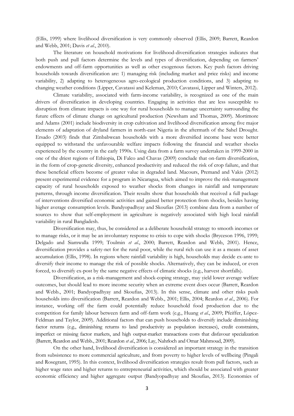(Ellis, 1999) where livelihood diversification is very commonly observed (Ellis, 2009; Barrett, Reardon and Webb, 2001; Davis *et al*., 2010).

The literature on household motivations for livelihood-diversification strategies indicates that both push and pull factors determine the levels and types of diversification, depending on farmers' endowments and off-farm opportunities as well as other exogenous factors. Key push factors driving households towards diversification are: 1) managing risk (including market and price risks) and income variability, 2) adapting to heterogeneous agro-ecological production conditions, and 3) adapting to changing weather conditions (Lipper, Cavatassi and Keleman, 2010; Cavatassi, Lipper and Winters, 2012).

Climate variability, associated with farm-income variability, is recognized as one of the main drivers of diversification in developing countries. Engaging in activities that are less susceptible to disruption from climate impacts is one way for rural households to manage uncertainty surrounding the future effects of climate change on agricultural production (Newsham and Thomas, 2009). Mortimore and Adams (2001) include biodiversity in crop cultivation and livelihood diversification among five major elements of adaptation of dryland farmers in north-east Nigeria in the aftermath of the Sahel Drought. Ersado (2003) finds that Zimbabwean households with a more diversified income base were better equipped to withstand the unfavourable welfare impacts following the financial and weather shocks experienced by the country in the early 1990s. Using data from a farm survey undertaken in 1999-2000 in one of the driest regions of Ethiopia, Di Falco and Chavas (2009) conclude that on-farm diversification, in the form of crop-genetic diversity, enhanced productivity and reduced the risk of crop failure, and that these beneficial effects become of greater value in degraded land. Macours, Premand and Vakis (2012) present experimental evidence for a program in Nicaragua, which aimed to improve the risk-management capacity of rural households exposed to weather shocks from changes in rainfall and temperature patterns, through income diversification. Their results show that households that received a full package of interventions diversified economic activities and gained better protection from shocks, besides having higher average consumption levels. Bandyopadhyay and Skoufias (2013) combine data from a number of sources to show that self-employment in agriculture is negatively associated with high local rainfall variability in rural Bangladesh.

Diversification may, thus, be considered as a deliberate household strategy to smooth incomes or to manage risks, or it may be an involuntary response to crisis to cope with shocks (Bryceson 1996, 1999; Delgado and Siamwalla 1999; Toulmin *et al*., 2000; Barrett, Reardon and Webb, 2001). Hence, diversification provides a safety-net for the rural poor, while the rural rich can use it as a means of asset accumulation (Ellis, 1998). In regions where rainfall variability is high, households may decide ex-ante to diversify their income to manage the risk of possible shocks. Alternatively, they can be induced, or even forced, to diversify ex-post by the same negative effects of climatic shocks (e.g., harvest shortfalls).

Diversification, as a risk-management and shock-coping strategy, may yield lower average welfare outcomes, but should lead to more income security when an extreme event does occur (Barrett, Reardon and Webb., 2001; Bandyopadhyay and Skoufias, 2013). In this sense, climate and other risks push households into diversification (Barrett, Reardon and Webb*.*, 2001; Ellis, 2004; Reardon *et al*., 2006). For instance, working off the farm could potentially reduce household food production due to the competition for family labour between farm and off-farm work (e.g., Huang *et al*., 2009; Pfeiffer, López-Feldman and Taylor, 2009). Additional factors that can push households to diversify include diminishing factor returns (e.g., diminishing returns to land productivity as population increases), credit constraints, imperfect or missing factor markets, and high output-market transactions costs that disfavour specialization (Barrett, Reardon and Webb., 2001; Reardon *et al*., 2006; Lay, Nahrloch and Omar Mahmoud, 2009).

On the other hand, livelihood diversification is considered an important strategy in the transition from subsistence to more commercial agriculture, and from poverty to higher levels of wellbeing (Pingali and Rosegrant, 1995). In this context, livelihood diversification strategies result from pull factors, such as higher wage rates and higher returns to entrepreneurial activities, which should be associated with greater economic efficiency and higher aggregate output (Bandyopadhyay and Skoufias, 2013). Economies of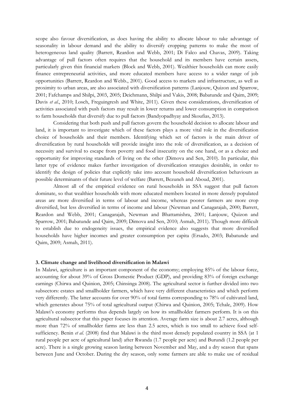scope also favour diversification, as does having the ability to allocate labour to take advantage of seasonality in labour demand and the ability to diversify cropping patterns to make the most of heterogeneous land quality (Barrett, Reardon and Webb, 2001; Di Falco and Chavas, 2009). Taking advantage of pull factors often requires that the household and its members have certain assets, particularly given thin financial markets (Block and Webb, 2001). Wealthier households can more easily finance entrepreneurial activities, and more educated members have access to a wider range of job opportunities (Barrett, Reardon and Webb., 2001). Good access to markets and infrastructure, as well as proximity to urban areas, are also associated with diversification patterns (Lanjouw, Quizon and Sparrow, 2001; Fafchamps and Shilpi, 2003, 2005; Deichmann, Shilpi and Vakis, 2008; Babatunde and Qaim, 2009; Davis *et al*., 2010; Losch, Freguingresh and White, 2011). Given these considerations, diversification of activities associated with push factors may result in lower returns and lower consumption in comparison to farm households that diversify due to pull factors (Bandyopadhyay and Skoufias, 2013).

Considering that both push and pull factors govern the household decision to allocate labour and land, it is important to investigate which of these factors plays a more vital role in the diversification choice of households and their members. Identifying which set of factors is the main driver of diversification by rural households will provide insight into the role of diversification, as a decision of necessity and survival to escape from poverty and food insecurity on the one hand, or as a choice and opportunity for improving standards of living on the other (Dimova and Sen, 2010). In particular, this latter type of evidence makes further investigation of diversification strategies desirable, in order to identify the design of policies that explicitly take into account household diversification behaviours as possible determinants of their future level of welfare (Barrett, Bezuneh and Aboud, 2001).

Almost all of the empirical evidence on rural households in SSA suggest that pull factors dominate, so that wealthier households with more educated members located in more densely populated areas are more diversified in terms of labour and income, whereas poorer farmers are more crop diversified, but less diversified in terms of income and labour (Newman and Canagarajah, 2000; Barrett, Reardon and Webb, 2001; Canagarajah, Newman and Bhattamishra, 2001; Lanjouw, Quizon and Sparrow, 2001; Babatunde and Qaim, 2009; Dimova and Sen, 2010; Asmah, 2011). Though more difficult to establish due to endogeneity issues, the empirical evidence also suggests that more diversified households have higher incomes and greater consumption per capita (Ersado, 2003; Babatunde and Qaim, 2009; Asmah, 2011).

#### <span id="page-8-0"></span>**3. Climate change and livelihood diversification in Malawi**

In Malawi, agriculture is an important component of the economy; employing 85% of the labour force, accounting for about 39% of Gross Domestic Product (GDP), and providing 83% of foreign exchange earnings (Chirwa and Quinion, 2005; Chinsinga 2008). The agricultural sector is further divided into two subsectors: estates and smallholder farmers, which have very different characteristics and which perform very differently. The latter accounts for over 90% of total farms corresponding to 78% of cultivated land, which generates about 75% of total agricultural output (Chirwa and Quinion, 2005; Tchale, 2009). How Malawi's economy performs thus depends largely on how its smallholder farmers perform. It is on this agricultural subsector that this paper focuses its attention. Average farm size is about 2.7 acres, although more than 72% of smallholder farms are less than 2.5 acres, which is too small to achieve food selfsufficiency. Benin *et al*. (2008) find that Malawi is the third most densely populated country in SSA (at 1 rural people per acre of agricultural land) after Rwanda (1.7 people per acre) and Burundi (1.2 people per acre). There is a single growing season lasting between November and May, and a dry season that spans between June and October. During the dry season, only some farmers are able to make use of residual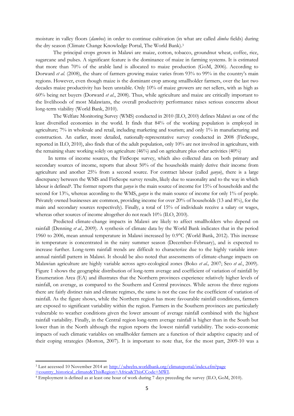moisture in valley floors (*dambos*) in order to continue cultivation (in what are called *dimba* fields) during the dry season (Climate Change Knowledge Portal, The World Bank). 3

The principal crops grown in Malawi are maize, cotton, tobacco, groundnut wheat, coffee, rice, sugarcane and pulses. A significant feature is the dominance of maize in farming systems. It is estimated that more than 70% of the arable land is allocated to maize production (GoM, 2006). According to Dorward *et al*. (2008), the share of farmers growing maize varies from 93% to 99% in the country's main regions. However, even though maize is the dominant crop among smallholder farmers, over the last two decades maize productivity has been unstable. Only 10% of maize growers are net sellers, with as high as 60% being net buyers (Dorward *et al*., 2008). Thus, while agriculture and maize are critically important to the livelihoods of most Malawians, the overall productivity performance raises serious concerns about long-term viability (World Bank, 2010).

The Welfare Monitoring Survey (WMS) conducted in 2010 (ILO, 2010) defines Malawi as one of the least diversified economies in the world. It finds that 84% of the working population is employed in agriculture; 7% in wholesale and retail, including marketing and tourism; and only 1% in manufacturing and construction. An earlier, more detailed, nationally-representative survey conducted in 2008 (FinScope, reported in ILO, 2010), also finds that of the adult population, only 10% are not involved in agriculture, with the remaining share working solely on agriculture (46%) and on agriculture plus other activities (40%)

In terms of income sources, the FinScope survey, which also collected data on both primary and secondary sources of income, reports that about 50% of the households mainly derive their income from agriculture and another 25% from a second source. For contract labour (called *ganyu*), there is a large discrepancy between the WMS and FinScope survey results, likely due to seasonality and to the way in which labour is defined<sup>4</sup>. The former reports that *ganyu* is the main source of income for 15% of households and the second for 13%, whereas according to the WMS, *ganyu* is the main source of income for only 1% of people. Privately owned businesses are common, providing income for over 20% of households (13 and 8%), for the main and secondary sources respectively). Finally, a total of 15% of individuals receive a salary or wages, whereas other sources of income altogether do not reach 10% (ILO, 2010).

Predicted climate-change impacts in Malawi are likely to affect smallholders who depend on rainfall (Denning *et al.,* 2009). A synthesis of climate data by the World Bank indicates that in the period 1960 to 2006, mean annual temperature in Malawi increased by 0.9°C (World Bank, 2012). This increase in temperature is concentrated in the rainy summer season (December–February), and is expected to increase further. Long-term rainfall trends are difficult to characterize due to the highly variable interannual rainfall pattern in Malawi. It should be also noted that assessments of climate-change impacts on Malawian agriculture are highly variable across agro-ecological zones (Boko *et al.,* 2007; Seo *et al*., 2009). Figure 1 shows the geographic distribution of long-term average and coefficient of variation of rainfall by Enumeration Area (EA) and illustrates that the Northern provinces experience relatively higher levels of rainfall, on average, as compared to the Southern and Central provinces. While across the three regions there are fairly distinct rain and climate regimes, the same is not the case for the coefficient of variation of rainfall. As the figure shows, while the Northern region has more favourable rainfall conditions, farmers are exposed to significant variability within the region. Farmers in the Southern provinces are particularly vulnerable to weather conditions given the lower amount of average rainfall combined with the highest rainfall variability. Finally, in the Central region long-term average rainfall is higher than in the South but lower than in the North although the region reports the lowest rainfall variability. The socio-economic impacts of such climatic variables on smallholder farmers are a function of their adaptive capacity and of their coping strategies (Morton, 2007). It is important to note that, for the most part, 2009-10 was a

 $\overline{a}$ 

<sup>&</sup>lt;sup>3</sup> Last accessed 10 November 2014 at: [http://sdwebx.worldbank.org/climateportal/index.cfm?page](http://sdwebx.worldbank.org/climateportal/index.cfm?page%20=country_historical_climate&ThisRegion=Africa&ThisCCode=MWI)

[<sup>=</sup>country\\_historical\\_climate&ThisRegion=Africa&ThisCCode=MWI.](http://sdwebx.worldbank.org/climateportal/index.cfm?page%20=country_historical_climate&ThisRegion=Africa&ThisCCode=MWI)

<sup>4</sup> Employment is defined as at least one hour of work during 7 days preceding the survey (ILO, GoM, 2010).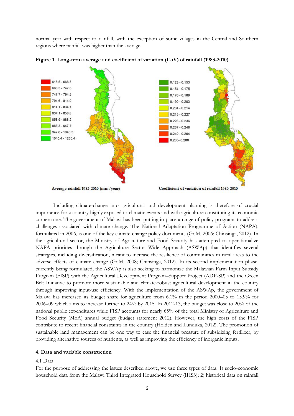normal year with respect to rainfall, with the exception of some villages in the Central and Southern regions where rainfall was higher than the average.



**Figure 1. Long-term average and coefficient of variation (CoV) of rainfall (1983-2010)**

Including climate-change into agricultural and development planning is therefore of crucial importance for a country highly exposed to climatic events and with agriculture constituting its economic cornerstone. The government of Malawi has been putting in place a range of policy programs to address challenges associated with climate change. The National Adaptation Programme of Action (NAPA), formulated in 2006, is one of the key climate-change policy documents (GoM, 2006; Chinsinga, 2012). In the agricultural sector, the Ministry of Agriculture and Food Security has attempted to operationalize NAPA priorities through the Agriculture Sector Wide Approach (ASWAp) that identifies several strategies, including diversification, meant to increase the resilience of communities in rural areas to the adverse effects of climate change (GoM, 2008; Chinsinga, 2012). In its second implementation phase, currently being formulated, the ASWAp is also seeking to harmonize the Malawian Farm Input Subsidy Program (FISP) with the Agricultural Development Program–Support Project (ADP-SP) and the Green Belt Initiative to promote more sustainable and climate-robust agricultural development in the country through improving input-use efficiency. With the implementation of the ASWAp, the government of Malawi has increased its budget share for agriculture from 6.1% in the period 2000–05 to 15.9% for 2006–09 which aims to increase further to 24% by 2015. In 2012-13, the budget was close to 20% of the national public expenditures while FISP accounts for nearly 65% of the total Ministry of Agriculture and Food Security (MoA) annual budget (budget statement 2012). However, the high costs of the FISP contribute to recent financial constraints in the country (Holden and Lunduka, 2012). The promotion of sustainable land management can be one way to ease the financial pressure of subsidizing fertilizer, by providing alternative sources of nutrients, as well as improving the efficiency of inorganic inputs.

#### <span id="page-10-0"></span>**4. Data and variable construction**

#### <span id="page-10-1"></span>4.1 Data

For the purpose of addressing the issues described above, we use three types of data: 1) socio-economic household data from the Malawi Third Integrated Household Survey (IHS3); 2) historical data on rainfall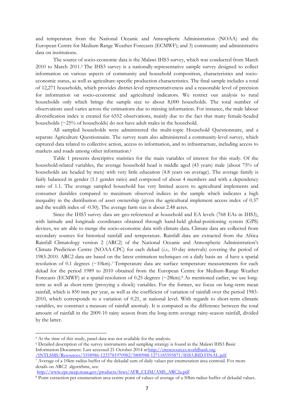and temperature from the National Oceanic and Atmospheric Administration (NOAA) and the European Centre for Medium Range Weather Forecasts (ECMWF); and 3) community and administrative data on institutions.

The source of socio-economic data is the Malawi IHS3 survey, which was conducted from March 2010 to March 2011.<sup>5</sup> The IHS3 survey is a nationally-representative sample survey designed to collect information on various aspects of community and household composition, characteristics and socioeconomic status, as well as agriculture-specific production characteristics. The final sample includes a total of 12,271 households, which provides district-level representativeness and a reasonable level of precision for information on socio-economic and agricultural indicators. We restrict our analysis to rural households only which brings the sample size to about 8,000 households. The total number of observations used varies across the estimations due to missing information. For instance, the male labour diversification index is created for 6552 observations, mainly due to the fact that many female-headed households (~25% of households) do not have adult males in the household.

All sampled households were administered the multi-topic Household Questionnaire, and a separate Agriculture Questionnaire. The survey team also administered a community-level survey, which captured data related to collective action, access to information, and to infrastructure, including access to markets and roads among other information.<sup>6</sup>

Table 1 presents descriptive statistics for the main variables of interest for this study. Of the household-related variables, the average household head is middle aged (43 years) male (about 75% of households are headed by men) with very little education (4.8 years on average). The average family is fairly balanced in gender (1.1 gender ratio) and composed of about 4 members and with a dependency ratio of 1.1. The average sampled household has very limited access to agricultural implements and consumer durables compared to maximum observed indices in the sample which indicates a high inequality in the distribution of asset ownership (given the agricultural implement access index of 0.37 and the wealth index of -0.50). The average farm size is about 2.48 acres.

Since the IHS3 survey data are geo-referenced at household and EA levels (768 EAs in IHS3), with latitude and longitude coordinates obtained through hand-held global-positioning system (GPS) devices, we are able to merge the socio-economic data with climate data. Climate data are collected from secondary sources for historical rainfall and temperature. Rainfall data are extracted from the Africa Rainfall Climatology version 2 (ARC2) of the National Oceanic and Atmospheric Administration's Climate Prediction Centre (NOAA-CPC) for each dekad (*i.e.,* 10-day intervals) covering the period of 1983-2010. ARC2 data are based on the latest estimation techniques on a daily basis an d have a spatial resolution of 0.1 degrees (~10km).<sup>7</sup> Temperature data are surface temperature measurements for each dekad for the period 1989 to 2010 obtained from the European Centre for Medium-Range Weather Forecasts (ECMWF) at a spatial resolution of 0.25 degrees (~28km). <sup>8</sup> As mentioned earlier, we use longterm as well as short-term (proxying a shock) variables. For the former, we focus on long-term mean rainfall, which is 850 mm per year, as well as the coefficient of variation of rainfall over the period 1983- 2010, which corresponds to a variation of 0.21, at national level. With regards to short-term climatic variables, we construct a measure of rainfall anomaly. It is computed as the difference between the total amount of rainfall in the 2009-10 rainy season from the long-term average rainy-season rainfall, divided by the latter.

1

<sup>7</sup> Average of a 10km radius buffer of the dekadal sum of daily values per enumeration area centroid. For more details on ARC2 algorithms, see:

<sup>&</sup>lt;sup>5</sup> At the time of this study, panel data was not available for the analysis.

<sup>6</sup> Detailed description of the survey instruments and sampling strategy is found in the Malawi IHS3 Basic Information Document. Last accessed 21 October 2014 at:http://siteresources.worldbank.org /INTLSMS/Resources/3358986-1233781970982/5800988-1271185595871/IHS3.BID.FINAL.pdf.

[http://www.cpc.ncep.noaa.gov/products/fews/AFR\\_CLIM/AMS\\_ARC2a.pdf](http://www.cpc.ncep.noaa.gov/products/fews/AFR_CLIM/AMS_ARC2a.pdf) 

<sup>8</sup> Point extraction per enumeration area centre point of values of average of a 50km radius buffer of dekadal values.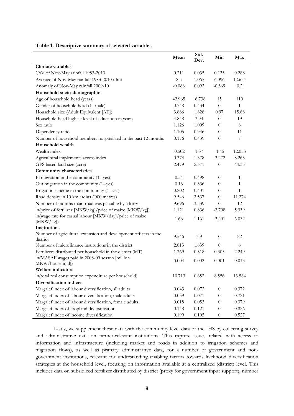|                                                                              | Mean      | Std.<br>Dev. | Min              | Max            |
|------------------------------------------------------------------------------|-----------|--------------|------------------|----------------|
| Climate variables                                                            |           |              |                  |                |
| CoV of Nov-May rainfall 1983-2010                                            | 0.211     | 0.035        | 0.123            | 0.288          |
| Average of Nov-May rainfall 1983-2010 (dm)                                   | 8.5       | 1.065        | 6.096            | 12.654         |
| Anomaly of Nov-May rainfall 2009-10                                          | $-0.086$  | 0.092        | $-0.369$         | 0.2            |
| Household socio-demographic                                                  |           |              |                  |                |
| Age of household head (years)                                                | 42.965    | 16.738       | 15               | 110            |
| Gender of household head (1=male)                                            | 0.748     | 0.434        | $\overline{0}$   | $\mathbf{1}$   |
| Household size (Adult Equivalent [AE])                                       | 3.886     | 1.828        | 0.97             | 15.68          |
| Household head highest level of education in years                           | 4.848     | 3.94         | $\overline{0}$   | 19             |
| Sex ratio                                                                    | 1.126     | 1.009        | $\theta$         | 8              |
| Dependency ratio                                                             | 1.105     | 0.946        | $\overline{0}$   | 11             |
| Number of household members hospitalized in the past 12 months               | 0.176     | 0.439        | $\overline{0}$   | $\overline{7}$ |
| Household wealth                                                             |           |              |                  |                |
| Wealth index                                                                 | $-0.502$  | 1.37         | $-1.45$          | 12.053         |
| Agricultural implements access index                                         | 0.374     | 1.378        | $-3.272$         | 8.265          |
| GPS based land size (acre)                                                   | 2.479     | 2.571        | $\theta$         | 44.35          |
| Community characteristics                                                    |           |              |                  |                |
| In migration in the community $(1 = yes)$                                    | 0.54      | 0.498        | $\overline{0}$   | $\mathbf{1}$   |
| Out migration in the community $(1 = yes)$                                   | 0.13      | 0.336        | $\theta$         | $\mathbf{1}$   |
| Irrigation scheme in the community $(1 = yes)$                               | 0.202     | 0.401        | $\overline{0}$   | $\mathbf{1}$   |
| Road density in 10 km radius ('000 metres)                                   | 9.546     | 2.537        | $\overline{0}$   | 11.274         |
| Number of months main road was passable by a lorry                           | 9.696     | 3.539        | $\theta$         | 12             |
| ln(price of fertilizer [MKW/kg]/price of maize [MKW/kg])                     | 1.121     | 0.836        | $-2.708$         | 5.339          |
| ln(wage rate for casual labour [MKW/day]/price of maize<br>[MKW/kg]          | 1.63      | 1.161        | $-3.401$         | 6.032          |
| Institutions                                                                 |           |              |                  |                |
| Number of agricultural extension and development officers in the<br>district | 9.546     | 3.9          | $\theta$         | 22             |
| Number of microfinance institutions in the district                          | 2.813     | 1.639        | $\overline{0}$   | 6              |
| Fertilizers distributed per household in the district (MT)                   | 1.269     | 0.518        | 0.305            | 2.249          |
| ln(MASAF wages paid in 2008-09 season [million<br>MKW/household[)            | 0.004     | 0.002        | 0.001            | 0.013          |
| <b>Welfare</b> indicators                                                    |           |              |                  |                |
| In(total real consumption expenditure per household)                         | 10.713    | 0.652        | 8.556            | 13.564         |
| Diversification indices                                                      |           |              |                  |                |
| Margalef index of labour diversification, all adults                         | 0.043     | 0.072        | $\boldsymbol{0}$ | 0.372          |
| Margalef index of labour diversification, male adults                        | 0.039     | 0.071        | $\boldsymbol{0}$ | 0.721          |
| Margalef index of labour diversification, female adults                      | $0.018\,$ | 0.053        | $\theta$         | 0.379          |
| Margalef index of cropland diversification                                   | 0.148     | 0.121        | $\theta$         | 0.826          |
| Margalef index of income diversification                                     | 0.199     | 0.105        | $\boldsymbol{0}$ | 0.527          |

Lastly, we supplement these data with the community level data of the IHS by collecting survey and administrative data on farmer-relevant institutions. This capture issues related with access to information and infrastructure (including market and roads in addition to irrigation schemes and migration flows), as well as primary administrative data, for a number of government and nongovernment institutions, relevant for understanding enabling factors towards livelihood diversification strategies at the household level, focusing on information available at a centralized (district) level. This includes data on subsidized fertilizer distributed by district (proxy for government input support), number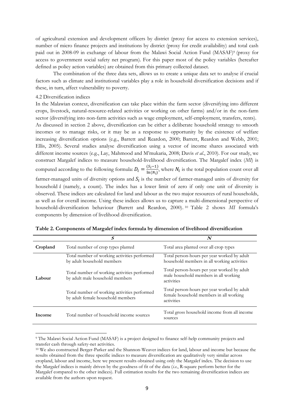of agricultural extension and development officers by district (proxy for access to extension services), number of micro finance projects and institutions by district (proxy for credit availability) and total cash paid out in 2008-09 in exchange of labour from the Malawi Social Action Fund (MASAF) 9 (proxy for access to government social safety net program). For this paper most of the policy variables (hereafter defined as policy action variables) are obtained from this primary collected dataset.

The combination of the three data sets, allows us to create a unique data set to analyse if crucial factors such as climate and institutional variables play a role in household diversification decisions and if these, in turn, affect vulnerability to poverty.

#### <span id="page-13-0"></span>4.2 Diversification indices

1

In the Malawian context, diversification can take place within the farm sector (diversifying into different crops, livestock, natural-resource-related activities or working on other farms) and/or in the non-farm sector (diversifying into non-farm activities such as wage employment, self-employment, transfers, rents).

As discussed in section 2 above, diversification can be either a deliberate household strategy to smooth incomes or to manage risks, or it may be as a response to opportunity by the existence of welfare increasing diversification options (e.g., Barrett and Reardon, 2000; Barrett, Reardon and Webb, 2001; Ellis, 2005). Several studies analyse diversification using a vector of income shares associated with different income sources (e.g., Lay, Mahmood and M'mukaria, 2008; Davis *et al*., 2010). For our study, we construct Margalef indices to measure household-livelihood diversification. The Margalef index (*MI*) is computed according to the following formula:  $D_i = \frac{(S_i - 1)}{\ln(N_i)}$  $\frac{(3i-1)}{\ln(N_i)}$ , where  $N_i$  is the total population count over all

farmer-managed units of diversity options and  $S_i$  is the number of farmer-managed units of diversity for household *i* (namely, a count). The index has a lower limit of zero if only one unit of diversity is observed. These indices are calculated for land and labour as the two major resources of rural households, as well as for overall income. Using these indices allows us to capture a multi-dimensional perspective of household-diversification behaviour (Barrett and Reardon, 2000). <sup>10</sup> Table 2 shows *MI* formula's components by dimension of livelihood diversification.

|          | $\boldsymbol{s}$                                                                  | N                                                                                                    |
|----------|-----------------------------------------------------------------------------------|------------------------------------------------------------------------------------------------------|
| Cropland | Total number of crop types planted                                                | Total area planted over all crop types                                                               |
|          | Total number of working activities performed<br>by adult household members        | Total person-hours per year worked by adult<br>household members in all working activities           |
| Labour   | Total number of working activities performed<br>by adult male household members   | Total person-hours per year worked by adult<br>male household members in all working<br>activities   |
|          | Total number of working activities performed<br>by adult female household members | Total person-hours per year worked by adult<br>female household members in all working<br>activities |
| Income   | Total number of household income sources                                          | Total gross household income from all income<br>sources                                              |

**Table 2. Components of Margalef index formula by dimension of livelihood diversification**

<sup>9</sup> The Malawi Social Action Fund (MASAF) is a project designed to finance self-help community projects and transfer cash through safety-net activities.

<sup>10</sup> We also constructed Berger-Parker and the Shannon-Weaver indices for land, labour and income but because the results obtained from the three specific indices to measure diversification are qualitatively very similar across cropland, labour and income, here we present results obtained using only the Margalef index. The decision to use the Margalef indices is mainly driven by the goodness of fit of the data (*i.e.*, R-square perform better for the Margalef compared to the other indices). Full estimation results for the two remaining diversification indices are available from the authors upon request.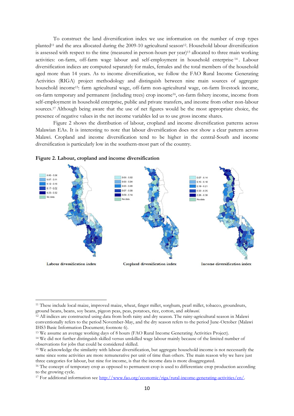To construct the land diversification index we use information on the number of crop types planted<sup>11</sup> and the area allocated during the 2009-10 agricultural season<sup>12</sup>. Household labour diversification is assessed with respect to the time (measured in person-hours per year) <sup>13</sup> allocated to three main working activities: on-farm, off-farm wage labour and self-employment in household enterprise <sup>14</sup> . Labour diversification indices are computed separately for males, females and the total members of the household aged more than 14 years. As to income diversification, we follow the FAO Rural Income Generating Activities (RIGA) project methodology and distinguish between nine main sources of aggregate household income<sup>15</sup>: farm agricultural wage, off-farm non-agricultural wage, on-farm livestock income, on-farm temporary and permanent (including trees) crop income<sup>16</sup>, on-farm fishery income, income from self-employment in household enterprise, public and private transfers, and income from other non-labour sources.<sup>17</sup> Although being aware that the use of net figures would be the most appropriate choice, the presence of negative values in the net income variables led us to use gross income shares.

Figure 2 shows the distribution of labour, cropland and income diversification patterns across Malawian EAs. It is interesting to note that labour diversification does not show a clear pattern across Malawi. Cropland and income diversification tend to be higher in the central-South and income diversification is particularly low in the southern-most part of the country.





**.** 

<sup>&</sup>lt;sup>11</sup> These include local maize, improved maize, wheat, finger millet, sorghum, pearl millet, tobacco, groundnuts, ground beans, beans, soy beans, pigeon peas, peas, potatoes, rice, cotton, and *nkhwani*.

<sup>&</sup>lt;sup>12</sup> All indices are constructed using data from both rainy and dry season. The rainy-agricultural season in Malawi conventionally refers to the period November-May, and the dry season refers to the period June-October (Malawi IHS3 Basic Information Document; footnote 6).

<sup>13</sup> We assume an average working days of 8 hours (FAO Rural Income Generating Activities Project).

<sup>14</sup> We did not further distinguish skilled versus unskilled wage labour mainly because of the limited number of observations for jobs that could be considered skilled.

<sup>&</sup>lt;sup>15</sup> We acknowledge the similarity with labour diversification, but aggregate household income is not necessarily the same since some activities are more remunerative per unit of time than others. The main reason why we have just three categories for labour, but nine for income, is that the income data is more disaggregated.

<sup>&</sup>lt;sup>16</sup> The concept of temporary crop as opposed to permanent crop is used to differentiate crop production according to the growing cycle.

<sup>17</sup> For additional information see [http://www.fao.org/economic/riga/rural-income-generating-activities/en/.](http://www.fao.org/economic/riga/rural-income-generating-activities/en/)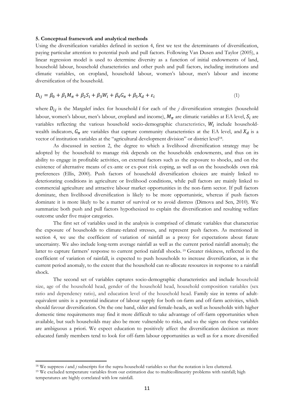#### <span id="page-15-0"></span>**5. Conceptual framework and analytical methods**

Using the diversification variables defined in section 4, first we test the determinants of diversification, paying particular attention to potential push and pull factors. Following Van Dusen and Taylor (2005), a linear regression model is used to determine diversity as a function of initial endowments of land, household labour, household characteristics and other push and pull factors, including institutions and climatic variables, on cropland, household labour, women's labour, men's labour and income diversification of the household.

#### $D_{ij} = \beta_0 + \beta_1 M_\pi + \beta_2 S_i + \beta_3 W_i + \beta_4 G_\pi + \beta_5 X_d + \varepsilon_i$ (1)

where  $D_{ij}$  is the Margalef index for household  $i$  for each of the  $j$  diversification strategies (household labour, women's labour, men's labour, cropland and income),  $M_\pi$  are climatic variables at EA level,  $S_i$  are variables reflecting the various household socio-demographic characteristics,  $W_i$  include householdwealth indicators,  $G_{\pi}$  are variables that capture community characteristics at the EA level, and  $X_d$  is a vector of institution variables at the "agricultural development division" or district level<sup>18</sup>.

As discussed in section 2, the degree to which a livelihood diversification strategy may be adopted by the household to manage risk depends on the households endowments, and thus on its ability to engage in profitable activities, on external factors such as the exposure to shocks, and on the existence of alternative means of ex-ante or ex-post risk coping, as well as on the households own risk preferences (Ellis, 2000). Push factors of household diversification choices are mainly linked to deteriorating conditions in agriculture or livelihood conditions, while pull factors are mainly linked to commercial agriculture and attractive labour market opportunities in the non-farm sector. If pull factors dominate, then livelihood diversification is likely to be more opportunistic, whereas if push factors dominate it is more likely to be a matter of survival or to avoid distress (Dimova and Sen, 2010). We summarize both push and pull factors hypothesized to explain the diversification and resulting welfare outcome under five major categories.

The first set of variables used in the analysis is comprised of climatic variables that characterize the exposure of households to climate-related stresses, and represent push factors. As mentioned in section 4, we use the coefficient of variation of rainfall as a proxy for expectations about future uncertainty. We also include long-term average rainfall as well as the current period rainfall anomaly; the latter to capture farmers' response to current period rainfall shocks. <sup>19</sup> Greater riskiness, reflected in the coefficient of variation of rainfall, is expected to push households to increase diversification, as is the current period anomaly, to the extent that the household can re-allocate resources in response to a rainfall shock.

The second set of variables captures socio-demographic characteristics and include household size, age of the household head, gender of the household head, household composition variables (sex ratio and dependency ratio), and education level of the household head. Family size in terms of adultequivalent units is a potential indicator of labour supply for both on-farm and off-farm activities, which should favour diversification. On the one hand, older and female-heads, as well as households with higher domestic time requirements may find it more difficult to take advantage of off-farm opportunities when available, but such households may also be more vulnerable to risks, and so the signs on these variables are ambiguous a priori. We expect education to positively affect the diversification decision as more educated family members tend to look for off-farm labour opportunities as well as for a more diversified

 $\overline{a}$ 

<sup>&</sup>lt;sup>18</sup> We suppress *i* and *j* subscripts for the supra-household variables so that the notation is less cluttered.

<sup>19</sup> We excluded temperature variables from our estimation due to multicollinearity problems with rainfall; high temperatures are highly correlated with low rainfall.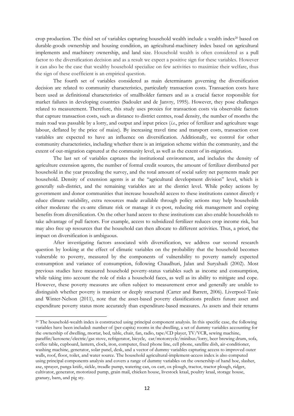crop production. The third set of variables capturing household wealth include a wealth index<sup>20</sup> based on durable-goods ownership and housing condition, an agricultural-machinery index based on agricultural implements and machinery ownership, and land size. Household wealth is often considered as a pull factor to the diversification decision and as a result we expect a positive sign for these variables. However it can also be the case that wealthy household specialize on few activities to maximize their welfare, thus the sign of these coefficient is an empirical question.

The fourth set of variables considered as main determinants governing the diversification decision are related to community characteristics, particularly transaction costs. Transaction costs have been used as definitional characteristics of smallholder farmers and as a crucial factor responsible for market failures in developing countries (Sadoulet and de Janvry, 1995). However, they pose challenges related to measurement. Therefore, this study uses proxies for transaction costs via observable factors that capture transaction costs, such as distance to district centres, road density, the number of months the main road was passable by a lorry, and output and input prices (*i.e.*, price of fertilizer and agriculture wage labour, deflated by the price of maize). By increasing travel time and transport costs, transaction cost variables are expected to have an influence on diversification. Additionally, we control for other community characteristics, including whether there is an irrigation scheme within the community, and the extent of out-migration captured at the community level, as well as the extent of in-migration.

The last set of variables captures the institutional environment, and includes the density of agriculture extension agents, the number of formal credit sources, the amount of fertilizer distributed per household in the year preceding the survey, and the total amount of social safety net payments made per household. Density of extension agents is at the "agricultural development division" level, which is generally sub-district, and the remaining variables are at the district level. While policy actions by government and donor communities that increase household access to these institutions cannot directly r educe climate variability, extra resources made available through policy actions may help households either moderate the ex-ante climate risk or manage it ex-post, reducing risk management and coping benefits from diversification. On the other hand access to these institutions can also enable households to take advantage of pull factors. For example, access to subsidized fertilizer reduces crop income risk, but may also free up resources that the household can then allocate to different activities. Thus, a priori, the impact on diversification is ambiguous.

After investigating factors associated with diversification, we address our second research question by looking at the effect of climatic variables on the probability that the household becomes vulnerable to poverty, measured by the components of vulnerability to poverty namely expected consumption and variance of consumption, following Chaudhuri, Jalan and Suryahadi (2002). Most previous studies have measured household poverty-status variables such as income and consumption, while taking into account the role of risks a household faces, as well as its ability to mitigate and cope. However, these poverty measures are often subject to measurement error and generally are unable to distinguish whether poverty is transient or deeply structural (Carter and Barrett, 2006). Liverpool-Tasie and Winter-Nelson (2011), note that the asset-based poverty classifications predicts future asset and expenditure poverty status more accurately than expenditure-based measures. As assets and their returns

1

<sup>&</sup>lt;sup>20</sup> The household-wealth index is constructed using principal component analysis. In this specific case, the following variables have been included: number of (per-capita) rooms in the dwelling, a set of dummy variables accounting for the ownership of dwelling, mortar, bed, table, chair, fan, radio, tape/CD player, TV/VCR, sewing machine, paraffin/kerosene/electric/gas stove, refrigerator, bicycle, car/motorcycle/minibus/lorry, beer brewing drum, sofa, coffee table, cupboard, lantern, clock, iron, computer, fixed phone line, cell phone, satellite dish, air-conditioner, washing machine, generator, solar panel, desk, and a vector of dummy variables capturing access to improved outer walls, roof, floor, toilet, and water source. The household agricultural-implement-access index is also computed using principal components analysis and covers a range of dummy variables on the ownership of hand hoe, slasher, axe, sprayer, panga knife, sickle, treadle pump, watering can, ox cart, ox plough, tractor, tractor plough, ridger, cultivator, generator, motorized pump, grain mail, chicken house, livestock kraal, poultry kraal, storage house, granary, barn, and pig sty.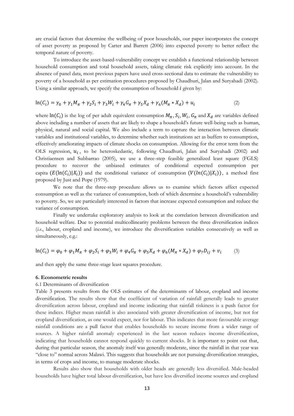are crucial factors that determine the wellbeing of poor households, our paper incorporates the concept of asset poverty as proposed by Carter and Barrett (2006) into expected poverty to better reflect the temporal nature of poverty.

To introduce the asset-based-vulnerability concept we establish a functional relationship between household consumption and total household assets, taking climatic risk explicitly into account. In the absence of panel data, most previous papers have used cross-sectional data to estimate the vulnerability to poverty of a household as per estimation procedures proposed by Chaudhuri, Jalan and Suryahadi (2002). Using a similar approach, we specify the consumption of household  $i$  given by:

$$
\ln(C_i) = \gamma_0 + \gamma_1 M_\pi + \gamma_2 S_i + \gamma_3 W_i + \gamma_4 G_\pi + \gamma_5 X_d + \gamma_6 (M_\pi * X_d) + u_i \tag{2}
$$

where  $\ln(C_i)$  is the log of per adult equivalent consumption  $M_\pi$ ,  $S_i$ ,  $W_i$ ,  $G_\pi$  and  $X_d$  are variables defined above including a number of assets that are likely to shape a household's future well-being such as human, physical, natural and social capital. We also include a term to capture the interaction between climatic variables and institutional variables, to determine whether such institutions act as buffers to consumption, effectively ameliorating impacts of climate shocks on consumption. Allowing for the error term from the OLS regression,  $u_i$ , to be heteroskedastic, following Chaudhuri, Jalan and Suryahadi (2002) and Christiaensen and Subbarrao (2005), we use a three-step feasible generalized least square (FGLS) procedure to recover the unbiased estimates of conditional expected consumption per capita  $(E(\ln(C_i)|X_i))$  and the conditional variance of consumption  $(V(\ln(C_i)|X_i))$ , a method first proposed by Just and Pope (1979).

We note that the three-step procedure allows us to examine which factors affect expected consumption as well as the variance of consumption, both of which determine a household's vulnerability to poverty. So, we are particularly interested in factors that increase expected consumption and reduce the variance of consumption.

Finally we undertake exploratory analysis to look at the correlation between diversification and household welfare. Due to potential multicollinearity problems between the three diversification indices (*i.e*., labour, cropland and income), we introduce the diversification variables consecutively as well as simultaneously, e.g.:

$$
\ln(C_i) = \varphi_0 + \varphi_1 M_\pi + \varphi_2 S_i + \varphi_3 W_i + \varphi_4 G_\pi + \varphi_5 X_d + \varphi_6 (M_\pi * X_d) + \varphi_7 D_{ij} + \nu_i
$$
 (3)

<span id="page-17-0"></span>and then apply the same three-stage least squares procedure.

#### **6. Econometric results**

#### <span id="page-17-1"></span>6.1 Determinants of diversification

Table 3 presents results from the OLS estimates of the determinants of labour, cropland and income diversification. The results show that the coefficient of variation of rainfall generally leads to greater diversification across labour, cropland and income indicating that rainfall riskiness is a push factor for these indices. Higher mean rainfall is also associated with greater diversification of income, but not for cropland diversification, as one would expect, nor for labour. This indicates that more favourable average rainfall conditions are a pull factor that enables households to secure income from a wider range of sources. A higher rainfall anomaly experienced in the last season reduces income diversification, indicating that households cannot respond quickly to current shocks. It is important to point out that, during that particular season, the anomaly itself was generally moderate, since the rainfall in that year was "close to" normal across Malawi. This suggests that households are not pursuing diversification strategies, in terms of crops and income, to manage moderate shocks.

Results also show that households with older heads are generally less diversified. Male-headed households have higher total labour diversification, but have less diversified income sources and cropland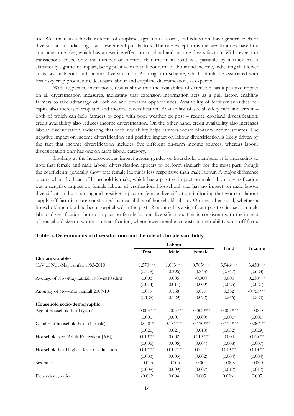use. Wealthier households, in terms of cropland, agricultural assets, and education, have greater levels of diversification, indicating that these are all pull factors. The one exception is the wealth index based on consumer durables, which has a negative effect on cropland and income diversification. With respect to transactions costs, only the number of months that the main road was passable by a truck has a statistically significant impact, being positive in total labour, male labour and income, indicating that lower costs favour labour and income diversification. An irrigation scheme, which should be associated with less risky crop production, decreases labour and cropland diversification, as expected.

With respect to institutions, results show that the availability of extension has a positive impact on all diversification measures, indicating that extension information acts as a pull factor, enabling farmers to take advantage of both on and off-farm opportunities. Availability of fertilizer subsidies per capita also increases cropland and income diversification. Availability of social safety nets and credit – both of which can help farmers to cope with poor weather ex post – reduce cropland diversification; credit availability also reduces income diversification. On the other hand, credit availability also increases labour diversification, indicating that such availability helps farmers secure off-farm income sources. The negative impact on income diversification and positive impact on labour diversification is likely driven by the fact that income diversification includes five different on-farm income sources, whereas labour diversification only has one on farm labour category.

Looking at the heterogeneous impact across gender of household members, it is interesting to note that female and male labour diversification appears to perform similarly for the most part, though the coefficients generally show that female labour is less responsive than male labour. A major difference occurs when the head of household is male, which has a positive impact on male labour diversification but a negative impact on female labour diversification. Household size has no impact on male labour diversification, but a strong and positive impact on female diversification, indicating that women's labour supply off-farm is more constrained by availability of household labour. On the other hand, whether a household member had been hospitalized in the past 12 months has a significant positive impact on male labour diversification, but no impact on female labour diversification. This is consistent with the impact of household size on women's diversification, where fewer members constrain their ability work off-farm.

|                                            |             | Labour      |             | Income      |             |
|--------------------------------------------|-------------|-------------|-------------|-------------|-------------|
|                                            | Total       | Male        | Female      | Land        |             |
| Climate variables                          |             |             |             |             |             |
| CoV of Nov-May rainfall 1983-2010          | $1.570***$  | $1.083***$  | $0.785***$  | $3.946***$  | $3.438***$  |
|                                            | (0.378)     | (0.396)     | (0.243)     | (0.767)     | (0.623)     |
| Average of Nov-May rainfall 1983-2010 (dm) | 0.003       | 0.005       | $-0.000$    | 0.005       | $0.230***$  |
|                                            | (0.014)     | (0.014)     | (0.009)     | (0.025)     | (0.021)     |
| Anomaly of Nov-May rainfall 2009-10        | 0.079       | 0.168       | 0.077       | 0.352       | $-0.755***$ |
|                                            | (0.128)     | (0.129)     | (0.092)     | (0.266)     | (0.224)     |
| Household socio-demographic                |             |             |             |             |             |
| Age of household head (years)              | $-0.003***$ | $-0.003***$ | $-0.002***$ | $-0.003***$ | $-0.000$    |
|                                            | (0.001)     | (0.001)     | (0.000)     | (0.001)     | (0.001)     |
| Gender of household head (1=male)          | $0.048**$   | $0.181***$  | $-0.170***$ | $-0.115***$ | $-0.066**$  |
|                                            | (0.020)     | (0.021)     | (0.018)     | (0.032)     | (0.029)     |
| Household size (Adult Equivalent [AE])     | $0.019***$  | 0.002       | $0.019***$  | 0.004       | $0.065***$  |
|                                            | (0.005)     | (0.006)     | (0.004)     | (0.008)     | (0.007)     |
| Household head highest level of education  | $0.017***$  | $0.014***$  | $0.004**$   | $0.019***$  | $0.013***$  |
|                                            | (0.003)     | (0.003)     | (0.002)     | (0.004)     | (0.004)     |
| Sex ratio                                  | $-0.003$    | $-0.003$    | $-0.005$    | $-0.008$    | $-0.000$    |
|                                            | (0.008)     | (0.009)     | (0.007)     | (0.012)     | (0.012)     |
| Dependency ratio                           | $-0.002$    | 0.004       | 0.005       | $0.026*$    | 0.005       |

#### **Table 3. Determinants of diversification and the role of climate variability**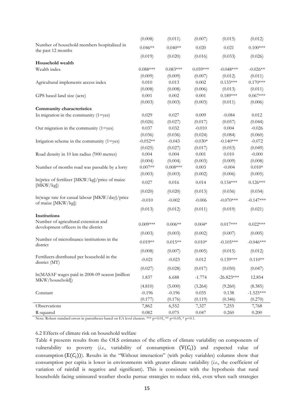|                                                                              | (0.008)                                                                                | (0.011)    | (0.007)    | (0.015)      | (0.012)                                                                                                                                                                                                                         |
|------------------------------------------------------------------------------|----------------------------------------------------------------------------------------|------------|------------|--------------|---------------------------------------------------------------------------------------------------------------------------------------------------------------------------------------------------------------------------------|
| Number of household members hospitalized in<br>the past 12 months            | $0.046**$                                                                              | $0.040**$  | 0.020      | 0.021        | $0.100***$                                                                                                                                                                                                                      |
|                                                                              | (0.019)                                                                                | (0.020)    | (0.016)    | (0.033)      | (0.026)                                                                                                                                                                                                                         |
| Household wealth                                                             |                                                                                        |            |            |              |                                                                                                                                                                                                                                 |
| Wealth index                                                                 | $0.088***$                                                                             | $0.083***$ | $0.059***$ | $-0.048***$  | $-0.026**$                                                                                                                                                                                                                      |
|                                                                              | (0.009)                                                                                | (0.009)    | (0.007)    | (0.012)      | (0.011)                                                                                                                                                                                                                         |
| Agricultural implements access index                                         | 0.010                                                                                  | 0.013      | 0.002      | $0.133***$   | $0.170***$                                                                                                                                                                                                                      |
|                                                                              | (0.008)                                                                                | (0.008)    | (0.006)    | (0.013)      |                                                                                                                                                                                                                                 |
| GPS based land size (acre)                                                   | 0.001                                                                                  | 0.002      | 0.001      | $0.189***$   |                                                                                                                                                                                                                                 |
|                                                                              | (0.003)                                                                                | (0.003)    | (0.003)    | (0.011)      |                                                                                                                                                                                                                                 |
| Community characteristics                                                    |                                                                                        |            |            |              |                                                                                                                                                                                                                                 |
| In migration in the community $(1 = yes)$                                    | 0.029                                                                                  | 0.027      | 0.009      | $-0.084$     |                                                                                                                                                                                                                                 |
|                                                                              | (0.026)                                                                                | (0.027)    | (0.017)    | (0.057)      |                                                                                                                                                                                                                                 |
| Out migration in the community $(1 = yes)$                                   | 0.037                                                                                  | 0.032      | $-0.010$   | 0.004        |                                                                                                                                                                                                                                 |
|                                                                              | (0.036)                                                                                | (0.036)    | (0.024)    | (0.084)      |                                                                                                                                                                                                                                 |
| Irrigation scheme in the community $(1 = yes)$                               | $-0.052**$                                                                             | $-0.043$   | $-0.030*$  | $-0.140***$  |                                                                                                                                                                                                                                 |
|                                                                              | (0.025)                                                                                | (0.027)    | (0.017)    | (0.053)      |                                                                                                                                                                                                                                 |
| Road density in 10 km radius ('000 metres)                                   | 0.004                                                                                  | 0.004      | 0.001      | 0.010        |                                                                                                                                                                                                                                 |
|                                                                              | (0.004)                                                                                | (0.004)    | (0.003)    | (0.009)      |                                                                                                                                                                                                                                 |
| Number of months road was passable by a lorry                                | $0.007**$                                                                              | $0.008***$ | 0.003      | $-0.004$     |                                                                                                                                                                                                                                 |
|                                                                              |                                                                                        | (0.003)    | (0.002)    | (0.006)      |                                                                                                                                                                                                                                 |
| [MKW/kg]                                                                     | (0.003)<br>ln(price of fertilizer [MKW/kg]/price of maize<br>0.027<br>0.016<br>(0.020) |            | 0.014      | $0.134***$   |                                                                                                                                                                                                                                 |
|                                                                              |                                                                                        | (0.020)    | (0.013)    | (0.036)      | (0.034)                                                                                                                                                                                                                         |
| ln(wage rate for casual labour [MKW/day]/price<br>of maize [MKW/kg])         | $-0.010$                                                                               | $-0.002$   | $-0.006$   | $-0.070***$  | $-0.147***$                                                                                                                                                                                                                     |
|                                                                              | (0.013)                                                                                | (0.012)    | (0.011)    | (0.019)      | (0.021)                                                                                                                                                                                                                         |
| Institutions                                                                 |                                                                                        |            |            |              |                                                                                                                                                                                                                                 |
| Number of agricultural extension and<br>development officers in the district | $0.009***$                                                                             | $0.006**$  | $0.004*$   | $0.017***$   | $0.022***$                                                                                                                                                                                                                      |
|                                                                              | (0.003)                                                                                | (0.003)    | (0.002)    | (0.007)      | (0.005)                                                                                                                                                                                                                         |
| Number of microfinance institutions in the<br>district                       | $0.019**$                                                                              | $0.015**$  | $0.010*$   | $-0.105***$  | $-0.046***$                                                                                                                                                                                                                     |
|                                                                              | (0.008)                                                                                | (0.007)    | (0.005)    | (0.015)      | (0.012)                                                                                                                                                                                                                         |
| Fertilizers distributed per household in the<br>district (MT)                | $-0.021$                                                                               | $-0.023$   | 0.012      | $0.139***$   | $0.110**$                                                                                                                                                                                                                       |
|                                                                              | (0.027)                                                                                | (0.028)    | (0.017)    | (0.050)      | (0.047)                                                                                                                                                                                                                         |
| ln(MASAF wages paid in 2008-09 season [million<br>MKW/household])            | 1.837                                                                                  | 6.688      | $-1.774$   | $-26.823***$ | (0.011)<br>$0.067***$<br>(0.006)<br>0.012<br>(0.044)<br>$-0.026$<br>(0.060)<br>$-0.072$<br>(0.049)<br>$-0.000$<br>(0.008)<br>$0.010*$<br>(0.005)<br>$0.126***$<br>12.854<br>(8.385)<br>$-1.525***$<br>(0.270)<br>7,768<br>0.200 |
|                                                                              | (4.810)                                                                                | (5.000)    | (3.264)    | (9.260)      |                                                                                                                                                                                                                                 |
| Constant                                                                     | $-0.196$                                                                               | $-0.196$   | 0.035      | 0.138        |                                                                                                                                                                                                                                 |
|                                                                              | (0.177)                                                                                | (0.176)    | (0.119)    | (0.346)      |                                                                                                                                                                                                                                 |
| Observations                                                                 | 7,862                                                                                  | 6,552      | 7,327      | 7,255        |                                                                                                                                                                                                                                 |
| R-squared                                                                    | 0.082                                                                                  | 0.075      | 0.047      | 0.260        |                                                                                                                                                                                                                                 |

Note: Robust standard errors in parentheses based on EA level clusters. \*\*\* p<0.01, \*\* p<0.05, \* p<0.1.

#### <span id="page-19-0"></span>6.2 Effects of climate risk on household welfare

Table 4 presents results from the OLS estimates of the effects of climate variability on components of vulnerability to poverty (*i.e.*, variability of consumption  $(V(C_i))$  and expected value of consumption  $(E(C_i))$ ). Results in the "Without interaction" (with policy variables) columns show that consumption per capita is lower in environments with greater climate variability (*i.e.*, the coefficient of variation of rainfall is negative and significant). This is consistent with the hypothesis that rural households facing uninsured weather shocks pursue strategies to reduce risk, even when such strategies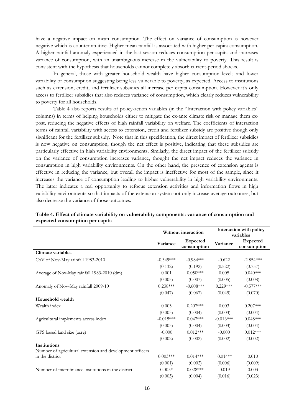have a negative impact on mean consumption. The effect on variance of consumption is however negative which is counterintuitive. Higher mean rainfall is associated with higher per capita consumption. A higher rainfall anomaly experienced in the last season reduces consumption per capita and increases variance of consumption, with an unambiguous increase in the vulnerability to poverty. This result is consistent with the hypothesis that households cannot completely absorb current-period shocks.

In general, those with greater household wealth have higher consumption levels and lower variability of consumption suggesting being less vulnerable to poverty, as expected. Access to institutions such as extension, credit, and fertilizer subsidies all increase per capita consumption. However it's only access to fertilizer subsidies that also reduces variance of consumption, which clearly reduces vulnerability to poverty for all households.

Table 4 also reports results of policy-action variables (in the "Interaction with policy variables" columns) in terms of helping households either to mitigate the ex-ante climate risk or manage them expost, reducing the negative effects of high rainfall variability on welfare. The coefficients of interaction terms of rainfall variability with access to extension, credit and fertilizer subsidy are positive though only significant for the fertilizer subsidy. Note that in this specification, the direct impact of fertilizer subsidies is now negative on consumption, though the net effect is positive, indicating that these subsidies are particularly effective in high variability environments. Similarly, the direct impact of the fertilizer subsidy on the variance of consumption increases variance, thought the net impact reduces the variance in consumption in high variability environments. On the other hand, the presence of extension agents is effective in reducing the variance, but overall the impact is ineffective for most of the sample, since it increases the variance of consumption leading to higher vulnerability in high variability environments. The latter indicates a real opportunity to refocus extension activities and information flows in high variability environments so that impacts of the extension system not only increase average outcomes, but also decrease the variance of those outcomes.

|                                                           | Without interaction |                         | Interaction with policy<br>variables |                         |
|-----------------------------------------------------------|---------------------|-------------------------|--------------------------------------|-------------------------|
|                                                           | Variance            | Expected<br>consumption | Variance                             | Expected<br>consumption |
| Climate variables                                         |                     |                         |                                      |                         |
| CoV of Nov-May rainfall 1983-2010                         | $-0.349***$         | $-0.984***$             | $-0.622$                             | $-2.854***$             |
|                                                           | (0.132)             | (0.192)                 | (0.522)                              | (0.757)                 |
| Average of Nov-May rainfall 1983-2010 (dm)                | 0.001               | $0.050***$              | 0.005                                | $0.040***$              |
|                                                           | (0.005)             | (0.007)                 | (0.005)                              | (0.008)                 |
| Anomaly of Nov-May rainfall 2009-10                       | $0.238***$          | $-0.608***$             | $0.229***$                           | $-0.577***$             |
|                                                           | (0.047)             | (0.067)                 | (0.049)                              | (0.070)                 |
| Household wealth                                          |                     |                         |                                      |                         |
| Wealth index                                              | 0.003               | $0.207***$              | 0.003                                | $0.207***$              |
|                                                           | (0.003)             | (0.004)                 | (0.003)                              | (0.004)                 |
| Agricultural implements access index                      | $-0.015***$         | $0.047***$              | $-0.016***$                          | $0.048***$              |
|                                                           | (0.003)             | (0.004)                 | (0.003)                              | (0.004)                 |
| GPS based land size (acre)                                | $-0.000$            | $0.012***$              | $-0.000$                             | $0.012***$              |
|                                                           | (0.002)             | (0.002)                 | (0.002)                              | (0.002)                 |
| <b>Institutions</b>                                       |                     |                         |                                      |                         |
| Number of agricultural extension and development officers |                     |                         |                                      |                         |
| in the district                                           | $0.003***$          | $0.014***$              | $-0.014**$                           | 0.010                   |
|                                                           | (0.001)             | (0.002)                 | (0.006)                              | (0.009)                 |
| Number of microfinance institutions in the district       | $0.005*$            | $0.028***$              | $-0.019$                             | 0.003                   |
|                                                           | (0.003)             | (0.004)                 | (0.016)                              | (0.023)                 |

#### **Table 4. Effect of climate variability on vulnerability components: variance of consumption and expected consumption per capita**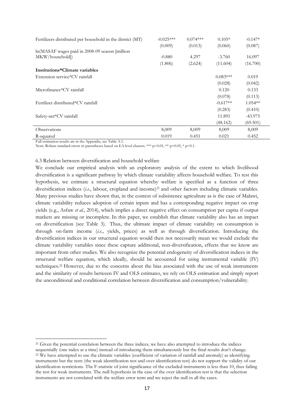| Fertilizers distributed per household in the district (MT) | $-0.025***$ | $0.074***$ | $0.105*$   | $-0.147*$ |  |
|------------------------------------------------------------|-------------|------------|------------|-----------|--|
|                                                            | (0.009)     | (0.013)    | (0.060)    | (0.087)   |  |
| ln(MASAF wages paid in 2008-09 season [million             |             |            |            |           |  |
| MKW/household])                                            | $-0.880$    | 4.297      | $-3.760$   | 16.097    |  |
|                                                            | (1.806)     | (2.624)    | (11.604)   | (16.700)  |  |
| Institutions*Climate variables                             |             |            |            |           |  |
| Extension service*CV rainfall                              |             |            | $0.083***$ | 0.019     |  |
|                                                            |             |            | (0.028)    | (0.042)   |  |
| Microfinance*CV rainfall                                   |             |            | 0.120      | 0.133     |  |
|                                                            |             |            | (0.078)    | (0.113)   |  |
| Fertilizer distributed*CV rainfall                         |             |            | $-0.617**$ | $1.054**$ |  |
|                                                            |             |            | (0.283)    | (0.410)   |  |
| Safety-net*CV rainfall                                     |             |            | 11.891     | $-43.975$ |  |
|                                                            |             |            | (48.162)   | (69.501)  |  |
| Observations                                               | 8,009       | 8,009      | 8,009      | 8,009     |  |
| R-squared                                                  | 0.019       | 0.451      | 0.021      | 0.452     |  |

Full estimation results are in the Appendix, see Table A.1.

1

Note: Robust standard errors in parentheses based on EA level clusters. \*\*\*  $p \le 0.01$ , \*\*  $p \le 0.05$ , \*  $p \le 0.1$ .

#### <span id="page-21-0"></span>6.3 Relation between diversification and household welfare

We conclude our empirical analysis with an exploratory analysis of the extent to which livelihood diversification is a significant pathway by which climate variability affects household welfare. To test this hypothesis, we estimate a structural equation whereby welfare is specified as a function of three diversification indices (*i.e.*, labour, cropland and income)<sup>21</sup> and other factors including climatic variables. Many previous studies have shown that, in the context of subsistence agriculture as is the case of Malawi, climate variability reduces adoption of certain inputs and has a corresponding negative impact on crop yields (e.g., Asfaw *et al.*, 2014), which implies a direct negative effect on consumption per capita if output markets are missing or incomplete. In this paper, we establish that climate variability also has an impact on diversification (see Table 3). Thus, the ultimate impact of climate variability on consumption is through on-farm income (*i.e.*, yields, prices) as well as through diversification. Introducing the diversification indices in our structural equation would then not necessarily mean we would exclude the climate variability variables since these capture additional, non-diversification, effects that we know are important from other studies. We also recognize the potential endogeneity of diversification indices in the structural welfare equation, which ideally, should be accounted for using instrumental variable (IV) techniques. <sup>22</sup> However, due to the concerns about the bias associated with the use of weak instruments and the similarity of results between IV and OLS estimates, we rely on OLS estimation and simply report the unconditional and conditional correlation between diversification and consumption/vulnerability.

<sup>&</sup>lt;sup>21</sup> Given the potential correlation between the three indices, we have also attempted to introduce the indices sequentially (one index at a time) instead of introducing them simultaneously but the final results don't change. <sup>22</sup> We have attempted to use the climatic variables (coefficient of variation of rainfall and anomaly) as identifying instruments but the tests (the weak identification test and over identification test) do not support the validity of our identification restrictions. The F-statistic of joint significance of the excluded instruments is less than 10, thus failing the test for weak instruments. The null hypothesis in the case of the over identification test is that the selection instruments are not correlated with the welfare error term and we reject the null in all the cases.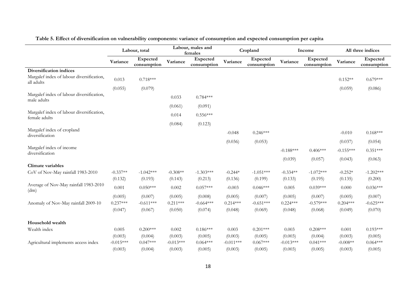|                                                            | Labour, total |                         | Labour, males and<br>females |                                | Cropland    |                         | Income      |                         | All three indices |                         |
|------------------------------------------------------------|---------------|-------------------------|------------------------------|--------------------------------|-------------|-------------------------|-------------|-------------------------|-------------------|-------------------------|
|                                                            | Variance      | Expected<br>consumption | Variance                     | <b>Expected</b><br>consumption | Variance    | Expected<br>consumption | Variance    | Expected<br>consumption | Variance          | Expected<br>consumption |
| Diversification indices                                    |               |                         |                              |                                |             |                         |             |                         |                   |                         |
| Margalef index of labour diversification,<br>all adults    | 0.013         | $0.718***$              |                              |                                |             |                         |             |                         | $0.152**$         | $0.679***$              |
|                                                            | (0.055)       | (0.079)                 |                              |                                |             |                         |             |                         | (0.059)           | (0.086)                 |
| Margalef index of labour diversification,<br>male adults   |               |                         | 0.033                        | $0.784***$                     |             |                         |             |                         |                   |                         |
|                                                            |               |                         | (0.061)                      | (0.091)                        |             |                         |             |                         |                   |                         |
| Margalef index of labour diversification,<br>female adults |               |                         | 0.014                        | $0.556***$                     |             |                         |             |                         |                   |                         |
|                                                            |               |                         | (0.084)                      | (0.123)                        |             |                         |             |                         |                   |                         |
| Margalef index of cropland<br>diversification              |               |                         |                              |                                | $-0.048$    | $0.246***$              |             |                         | $-0.010$          | $0.168***$              |
|                                                            |               |                         |                              |                                | (0.036)     | (0.053)                 |             |                         | (0.037)           | (0.054)                 |
| Margalef index of income<br>diversification                |               |                         |                              |                                |             |                         | $-0.188***$ | $0.406***$              | $-0.155***$       | $0.351***$              |
|                                                            |               |                         |                              |                                |             |                         | (0.039)     | (0.057)                 | (0.043)           | (0.063)                 |
| Climate variables                                          |               |                         |                              |                                |             |                         |             |                         |                   |                         |
| CoV of Nov-May rainfall 1983-2010                          | $-0.337**$    | $-1.042***$             | $-0.308**$                   | $-1.303***$                    | $-0.244*$   | $-1.051***$             | $-0.334**$  | $-1.072***$             | $-0.252*$         | $-1.202***$             |
|                                                            | (0.132)       | (0.193)                 | (0.143)                      | (0.213)                        | (0.136)     | (0.199)                 | (0.133)     | (0.195)                 | (0.135)           | (0.200)                 |
| Average of Nov-May rainfall 1983-2010<br>(dm)              | 0.001         | $0.050***$              | 0.002                        | $0.057***$                     | $-0.003$    | $0.046***$              | 0.005       | $0.039***$              | 0.000             | $0.036***$              |
|                                                            | (0.005)       | (0.007)                 | (0.005)                      | (0.008)                        | (0.005)     | (0.007)                 | (0.005)     | (0.007)                 | (0.005)           | (0.007)                 |
| Anomaly of Nov-May rainfall 2009-10                        | $0.237***$    | $-0.611***$             | $0.211***$                   | $-0.664***$                    | $0.214***$  | $-0.651***$             | $0.224***$  | $-0.579***$             | $0.204***$        | $-0.625***$             |
|                                                            | (0.047)       | (0.067)                 | (0.050)                      | (0.074)                        | (0.048)     | (0.069)                 | (0.048)     | (0.068)                 | (0.049)           | (0.070)                 |
| Household wealth                                           |               |                         |                              |                                |             |                         |             |                         |                   |                         |
| Wealth index                                               | 0.005         | $0.200***$              | 0.002                        | $0.186***$                     | 0.003       | $0.201***$              | 0.003       | $0.208***$              | 0.001             | $0.193***$              |
|                                                            | (0.003)       | (0.004)                 | (0.003)                      | (0.005)                        | (0.003)     | (0.005)                 | (0.003)     | (0.004)                 | (0.003)           | (0.005)                 |
| Agricultural implements access index                       | $-0.015***$   | $0.047***$              | $-0.013***$                  | $0.064***$                     | $-0.011***$ | $0.067***$              | $-0.013***$ | $0.041***$              | $-0.008**$        | $0.064***$              |
|                                                            | (0.003)       | (0.004)                 | (0.003)                      | (0.005)                        | (0.003)     | (0.005)                 | (0.003)     | (0.005)                 | (0.003)           | (0.005)                 |

**Table 5. Effect of diversification on vulnerability components: variance of consumption and expected consumption per capita**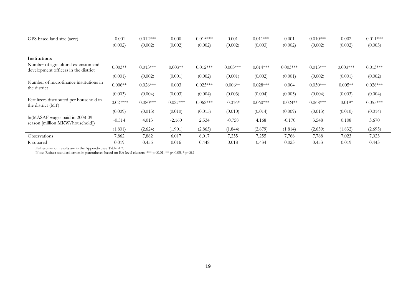| GPS based land size (acre)                                                   | $-0.001$    | $0.012***$ | 0.000       | $0.015***$ | 0.001      | $0.011***$ | 0.001      | $0.010***$ | 0.002      | $0.011***$ |
|------------------------------------------------------------------------------|-------------|------------|-------------|------------|------------|------------|------------|------------|------------|------------|
|                                                                              | (0.002)     | (0.002)    | (0.002)     | (0.002)    | (0.002)    | (0.003)    | (0.002)    | (0.002)    | (0.002)    | (0.003)    |
| Institutions                                                                 |             |            |             |            |            |            |            |            |            |            |
| Number of agricultural extension and<br>development officers in the district | $0.003**$   | $0.013***$ | $0.003**$   | $0.012***$ | $0.003***$ | $0.014***$ | $0.003***$ | $0.013***$ | $0.003***$ | $0.013***$ |
|                                                                              | (0.001)     | (0.002)    | (0.001)     | (0.002)    | (0.001)    | (0.002)    | (0.001)    | (0.002)    | (0.001)    | (0.002)    |
| Number of microfinance institutions in<br>the district                       | $0.006**$   | $0.026***$ | 0.003       | $0.025***$ | $0.006**$  | $0.028***$ | 0.004      | $0.030***$ | $0.005**$  | $0.028***$ |
|                                                                              | (0.003)     | (0.004)    | (0.003)     | (0.004)    | (0.003)    | (0.004)    | (0.003)    | (0.004)    | (0.003)    | (0.004)    |
| Fertilizers distributed per household in<br>the district (MT)                | $-0.027***$ | $0.080***$ | $-0.027***$ | $0.062***$ | $-0.016*$  | $0.060***$ | $-0.024**$ | $0.068***$ | $-0.019*$  | $0.055***$ |
|                                                                              | (0.009)     | (0.013)    | (0.010)     | (0.015)    | (0.010)    | (0.014)    | (0.009)    | (0.013)    | (0.010)    | (0.014)    |
| $ln(MASAF)$ wages paid in 2008-09<br>season [million MKW/household])         | $-0.514$    | 4.013      | $-2.160$    | 2.534      | $-0.758$   | 4.168      | $-0.170$   | 3.548      | 0.108      | 3.670      |
|                                                                              | (1.801)     | (2.624)    | (1.901)     | (2.863)    | (1.844)    | (2.679)    | (1.814)    | (2.659)    | (1.832)    | (2.695)    |
| Observations                                                                 | 7,862       | 7,862      | 6,017       | 6,017      | 7,255      | 7,255      | 7,768      | 7,768      | 7,023      | 7,023      |
| R-squared                                                                    | 0.019       | 0.455      | 0.016       | 0.448      | 0.018      | 0.434      | 0.023      | 0.453      | 0.019      | 0.443      |

Full estimation results are in the Appendix, see Table A.2.

Note: Robust standard errors in parentheses based on EA level clusters. \*\*\*  $p<0.01$ , \*\*  $p<0.05$ , \*  $p<0.1$ .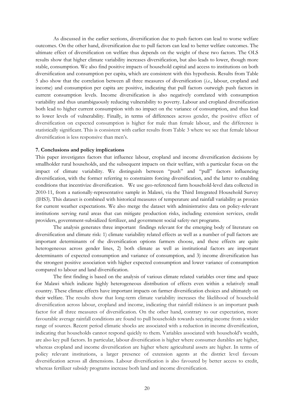As discussed in the earlier sections, diversification due to push factors can lead to worse welfare outcomes. On the other hand, diversification due to pull factors can lead to better welfare outcomes. The ultimate effect of diversification on welfare thus depends on the weight of these two factors. The OLS results show that higher climate variability increases diversification, but also leads to lower, though more stable, consumption. We also find positive impacts of household capital and access to institutions on both diversification and consumption per capita, which are consistent with this hypothesis. Results from Table 5 also show that the correlation between all three measures of diversification (*i.e.*, labour, cropland and income) and consumption per capita are positive, indicating that pull factors outweigh push factors in current consumption levels. Income diversification is also negatively correlated with consumption variability and thus unambiguously reducing vulnerability to poverty. Labour and cropland diversification both lead to higher current consumption with no impact on the variance of consumption, and thus lead to lower levels of vulnerability. Finally, in terms of differences across gender, the positive effect of diversification on expected consumption is higher for male than female labour, and the difference is statistically significant. This is consistent with earlier results from Table 3 where we see that female labour diversification is less responsive than men's.

#### <span id="page-24-0"></span>**7. Conclusions and policy implications**

This paper investigates factors that influence labour, cropland and income diversification decisions by smallholder rural households, and the subsequent impacts on their welfare, with a particular focus on the impact of climate variability. We distinguish between "push" and "pull" factors influencing diversification, with the former referring to constraints forcing diversification, and the latter to enabling conditions that incentivize diversification. We use geo-referenced farm household-level data collected in 2010-11, from a nationally-representative sample in Malawi, via the Third Integrated Household Survey (IHS3). This dataset is combined with historical measures of temperature and rainfall variability as proxies for current weather expectations. We also merge the dataset with administrative data on policy-relevant institutions serving rural areas that can mitigate production risks, including extension services, credit providers, government-subsidized fertilizer, and government social safety-net programs.

The analysis generates three important findings relevant for the emerging body of literature on diversification and climate risk: 1) climate variability related effects as well as a number of pull factors are important determinants of the diversification options farmers choose, and these effects are quite heterogeneous across gender lines, 2) both climate as well as institutional factors are important determinants of expected consumption and variance of consumption, and 3) income diversification has the strongest positive association with higher expected consumption and lower variance of consumption compared to labour and land diversification.

The first finding is based on the analysis of various climate related variables over time and space for Malawi which indicate highly heterogeneous distribution of effects even within a relatively small country. These climate effects have important impacts on farmer diversification choices and ultimately on their welfare. The results show that long-term climate variability increases the likelihood of household diversification across labour, cropland and income, indicating that rainfall riskiness is an important push factor for all three measures of diversification. On the other hand, contrary to our expectation, more favourable average rainfall conditions are found to pull households towards securing income from a wider range of sources. Recent period climatic shocks are associated with a reduction in income diversification, indicating that households cannot respond quickly to them. Variables associated with household's wealth, are also key pull factors. In particular, labour diversification is higher where consumer durables are higher, whereas cropland and income diversification are higher where agricultural assets are higher. In terms of policy relevant institutions, a larger presence of extension agents at the district level favours diversification across all dimensions. Labour diversification is also favoured by better access to credit, whereas fertilizer subsidy programs increase both land and income diversification.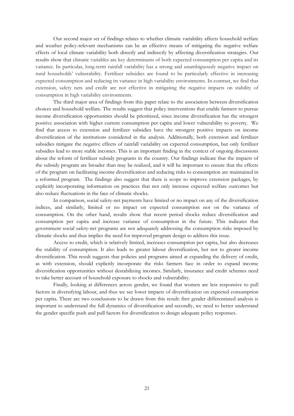Our second major set of findings relates to whether climatic variability affects household welfare and weather policy-relevant mechanisms can be an effective means of mitigating the negative welfare effects of local climate variability both directly and indirectly by affecting diversification strategies. Our results show that climatic variables are key determinants of both expected consumption per capita and its variance. In particular, long-term rainfall variability has a strong and unambiguously negative impact on rural households' vulnerability. Fertilizer subsidies are found to be particularly effective in increasing expected consumption and reducing its variance in high variability environments. In contrast, we find that extension, safety nets and credit are not effective in mitigating the negative impacts on stability of consumption in high variability environments.

The third major area of findings from this paper relate to the association between diversification choices and household welfare. The results suggest that policy interventions that enable farmers to pursue income diversification opportunities should be prioritized, since income diversification has the strongest positive association with higher current consumption per capita and lower vulnerability to poverty. We find that access to extension and fertilizer subsidies have the strongest positive impacts on income diversification of the institutions considered in the analysis. Additionally, both extension and fertilizer subsidies mitigate the negative effects of rainfall variability on expected consumption, but only fertilizer subsidies lead to more stable incomes. This is an important finding in the context of ongoing discussions about the reform of fertilizer subsidy programs in the country. Our findings indicate that the impacts of the subsidy program are broader than may be realized, and it will be important to ensure that the effects of the program on facilitating income diversification and reducing risks to consumption are maintained in a reformed program. The findings also suggest that there is scope to improve extension packages, by explicitly incorporating information on practices that not only increase expected welfare outcomes but also reduce fluctuations in the face of climatic shocks.

In comparison, social safety-net payments have limited or no impact on any of the diversification indices, and similarly, limited or no impact on expected consumption nor on the variance of consumption. On the other hand, results show that recent period shocks reduce diversification and consumption per capita and increase variance of consumption in the future. This indicates that government social safety-net programs are not adequately addressing the consumption risks imposed by climatic shocks and thus implies the need for improved program design to address this issue.

Access to credit, which is relatively limited, increases consumption per capita, but also decreases the stability of consumption. It also leads to greater labour diversification, but not to greater income diversification. This result suggests that policies and programs aimed at expanding the delivery of credit, as with extension, should explicitly incorporate the risks farmers face in order to expand income diversification opportunities without destabilizing incomes. Similarly, insurance and credit schemes need to take better account of household exposure to shocks and vulnerability.

Finally, looking at differences across gender, we found that women are less responsive to pull factors in diversifying labour, and thus we see lower impacts of diversification on expected consumption per capita. There are two conclusions to be drawn from this result: first gender differentiated analysis is important to understand the full dynamics of diversification and secondly, we need to better understand the gender specific push and pull factors for diversification to design adequate policy responses.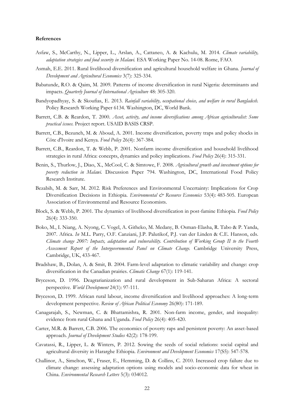#### <span id="page-26-0"></span>**References**

- Asfaw, S., McCarthy, N., Lipper, L., Arslan, A., Cattaneo, A. & Kachulu, M. 2014. *Climate variability, adaptation strategies and food security in Malawi.* ESA Working Paper No. 14-08. Rome, FAO.
- Asmah, E.E. 2011. Rural livelihood diversification and agricultural household welfare in Ghana. *Journal of Development and Agricultural Economics* 3(7): 325-334.
- Babatunde, R.O. & Qaim, M. 2009. Patterns of income diversification in rural Nigeria: determinants and impacts. *Quarterly Journal of International Agriculture* 48: 305-320.
- Bandyopadhyay, S. & Skoufias, E. 2013. *Rainfall variability, occupational choice, and welfare in rural Bangladesh.* Policy Research Working Paper 6134. Washington, DC, World Bank.
- Barrett, C.B. & Reardon, T. 2000. *Asset, activity, and income diversifications among African agriculturalist: Some practical issues.* Project report. USAID BASIS CRSP.
- Barrett, C.B., Bezuneh, M. & Aboud, A. 2001. Income diversification, poverty traps and policy shocks in Côte d'Ivoire and Kenya. *Food Policy* 26(4): 367-384.
- Barrett, C.B., Reardon, T. & Webb, P. 2001. Nonfarm income diversification and household livelihood strategies in rural Africa: concepts, dynamics and policy implications. *Food Policy* 26(4): 315-331.
- Benin, S., Thurlow, J., Diao, X., McCool, C. & Simtowe, F. 2008. *Agricultural growth and investment options for poverty reduction in Malawi.* Discussion Paper 794. Washington, DC, International Food Policy Research Institute.
- Bezabih, M. & Sarr, M. 2012. Risk Preferences and Environmental Uncertainty: Implications for Crop Diversification Decisions in Ethiopia. *Environmental & Resource Economics* 53(4): 483-505. European Association of Environmental and Resource Economists.
- Block, S. & Webb, P. 2001. The dynamics of livelihood diversification in post-famine Ethiopia. *Food Policy* 26(4): 333-350.
- Boko, M., I. Niang, A. Nyong, C. Vogel, A. Githeko, M. Medany, B. Osman-Elasha, R. Tabo & P. Yanda, 2007. Africa. *In* M.L. Parry, O.F. Canziani, J.P. Palutikof, P.J. van der Linden & C.E. Hanson, eds. *Climate change 2007: Impacts, adaptation and vulnerability. Contribution of Working Group II to the Fourth Assessment Report of the Intergovernmental Panel on Climate Change.* Cambridge University Press, Cambridge, UK, 433-467.
- Bradshaw, B., Dolan, A. & Smit, B. 2004. Farm-level adaptation to climatic variability and change: crop diversification in the Canadian prairies. *Climatic Change* 67(1): 119-141.
- Bryceson, D. 1996. Deagrarianization and rural development in Sub-Saharan Africa: A sectoral perspective. *World Development* 24(1): 97-111.
- Bryceson, D. 1999. African rural labour, income diversification and livelihood approaches: A long-term development perspective. *Review of African Political Economy* 26(80): 171-189.
- Canagarajah, S., Newman, C. & Bhattamishra, R. 2001. Non-farm income, gender, and inequality: evidence from rural Ghana and Uganda. *Food Policy* 26(4): 405-420.
- Carter, M.R. & Barrett, C.B. 2006. The economics of poverty raps and persistent poverty: An asset-based approach. *Journal of Development Studies* 42(2): 178-199.
- Cavatassi, R., Lipper, L. & Winters, P. 2012. Sowing the seeds of social relations: social capital and agricultural diversity in Hararghe Ethiopia. *Environment and Development Economics* 17(S5): 547-578.
- Challinor, A., Simelton, W., Fraser, E., Hemming, D. & Collins, C. 2010. Increased crop failure due to climate change: assessing adaptation options using models and socio-economic data for wheat in China. *Environmental Research Letters* 5(3): 034012.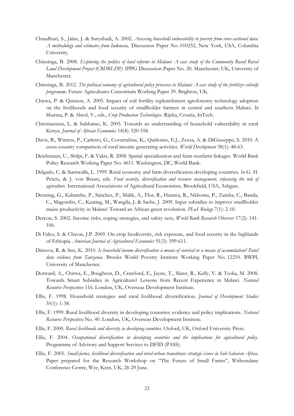- Chaudhuri, S., Jalan, J. & Suryahadi, A. 2002. *Assessing household vulnerability to poverty from cross-sectional data: A methodology and estimates from Indonesia.* Discussion Paper No. 010252, New York, USA, Columbia University.
- Chinsinga, B. 2008. *Exploring the politics of land reforms in Malawi: A case study of the Community Based Rural Land Development Project (CBDRLDP).* IPPG Discussion Paper No. 20. Manchester, UK, University of Manchester.
- Chinsinga, B. 2012. *The political economy of agricultural policy processes in Malawi: A case study of the fertilizer subsidy programme.* Future Agricultures Consortium Working Paper 39. Brighton, UK.
- Chirwa, P. & Quinion, A. 2005. Impact of soil fertility replenishment agroforestry technology adoption on the livelihoods and food security of smallholder farmers in central and southern Malawi. *In* Sharma, P. & Abrol, V., eds., *Crop Production Technologies*. Rijeka, Croatia, InTech.
- Christiaensen, L. & Subbarao, K. 2005. Towards an understanding of household vulnerability in rural Kenya*. Journal of African Economies* 14(4): 520-558.
- Davis, B., Winters, P., Carletto, G., Covarrubias, K., Quiñones, E.J., Zezza, A. & DiGiuseppe, S. 2010. A cross-country comparison of rural income generating activities. *World Development* 38(1): 48-63.
- Deichmann, U., Shilpi, F. & Vakis, R. 2008. Spatial specialization and farm-nonfarm linkages. World Bank Policy Research Working Paper No. 4611. Washington, DC, World Bank.
- Delgado, C. & Siamwalla, L. 1999. Rural economy and farm diversification developing countries. *In* G. H. Peters, & J. von Braun, eds. Food security, diversification and resource management, refocusing the role of *agriculture*. International Associations of Agricultural Economists. Brookfield, USA, Ashgate.
- Denning, G., Kabambe, P., Sánchez, P., Malik, A., Flor, R., Harawa, R., Nkhoma, P., Zamba, C., Banda, C., Magombo, C., Keating, M., Wangila, J. & Sachs, J. 2009. Input subsidies to improve smallholder maize productivity in Malawi: Toward an African green revolution. *PLoS Biology* 7(1): 2-10.
- Dercon, S. 2002. Income risks, coping strategies, and safety nets, *World Bank Research Observer* 17(2): 141- 166.
- Di Falco, S. & Chavas, J.P. 2009. On crop biodiversity, risk exposure, and food security in the highlands of Ethiopia. *American Journal of Agricultural Economics* 91(3): 599-611.
- Dimova, R. & Sen, K. 2010. *Is household income diversification a means of survival or a means of accumulation? Panel data evidence from Tanzania.* Brooks World Poverty Institute Working Paper No. 12210. BWPI, University of Manchester.
- Dorward, A., Chirwa, E., Boughton, D., Crawford, E., Jayne, T., Slater, R., Kelly, V. & Tsoka, M. 2008. Towards Smart Subsidies in Agriculture? Lessons from Recent Experience in Malawi. *Natural Resource Perspectives* 116. London, UK, Overseas Development Institute.
- Ellis, F. 1998. Household strategies and rural livelihood diversification. *Journal of Development Studies* 35(1): 1-38.
- Ellis, F. 1999. Rural livelihood diversity in developing countries: evidence and policy implications. *Natural Resource Perspectives* No. 40. London, UK, Overseas Development Institute.
- Ellis, F. 2000. *Rural livelihoods and diversity in developing countries*. Oxford, UK, Oxford University Press.
- Ellis, F. 2004. *Occupational diversification in developing countries and the implications for agricultural policy.*  Programme of Advisory and Support Services to DFID (PASS).
- Ellis, F. 2005. *Small-farms, livelihood diversification and rural-urban transitions: strategic issues in Sub-Saharan Africa.* Paper prepared for the Research Workshop on "The Future of Small Farms", Withersdane Conference Centre, Wye, Kent, UK, 26-29 June.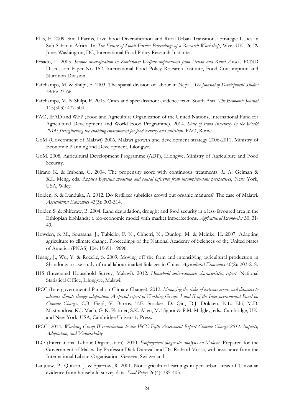- Ellis, F. 2009. Small-Farms, Livelihood Diversification and Rural-Urban Transitions: Strategic Issues in Sub-Saharan Africa. In *The Future of Small Farms: Proceedings of a Research Workshop*, Wye, UK, 26-29 June. Washington, DC, International Food Policy Research Institute.
- Ersado, L. 2003. *Income diversification in Zimbabwe: Welfare implications from Urban and Rural Areas.*, FCND Discussion Paper No. 152. International Food Policy Research Institute, Food Consumption and Nutrition Division
- Fafchamps, M. & Shilpi, F. 2003. The spatial division of labour in Nepal. *The Journal of Development Studies* 39(6): 23-66.
- Fafchamps, M. & Shilpi, F. 2005. Cities and specialisation: evidence from South Asia. *The Economic Journal* 115(503): 477-504.
- FAO, IFAD and WFP (Food and Agriculture Organization of the United Nations, International Fund for Agricultural Development and World Food Programme). 2014. *State of Food Insecurity in the World 2014: Strengthening the enabling environment for food security and nutrition.* FAO, Rome.
- GoM (Government of Malawi) 2006. Malawi growth and development strategy 2006-2011, Ministry of Economic Planning and Development, Lilongwe.
- GoM. 2008. Agricultural Development Programme (ADP), Lilongwe, Ministry of Agriculture and Food Security.
- Hirano K. & Imbens, G. 2004. The propensity score with continuous treatments. *In* A. Gelman & X.L. Meng, eds. A*pplied Bayesian modeling and causal inference from incomplete-data perspectives*, New York, USA, Wiley.
- Holden, S. & Lunduka, A. 2012. Do fertilizer subsidies crowd out organic manures? The case of Malawi. *Agricultural Economics* 43(3): 303-314.
- Holden S. & Shiferaw, B. 2004. Land degradation, drought and food security in a less-favoured area in the Ethiopian highlands: a bio-economic model with market imperfections. *Agricultural Economics* 30: 31- 49.
- Howden, S. M., Soussana, J., Tubiello, F. N., Chhetri, N., Dunlop, M. & Meinke, H. 2007. Adapting agriculture to climate change. Proceedings of the National Academy of Sciences of the United States of America (PNAS) 104: 19691-19696.
- Huang, J., Wu, Y. & Rozelle, S. 2009. Moving off the farm and intensifying agricultural production in Shandong: a case study of rural labour market linkages in China. *Agricultural Economics* 40(2): 203-218.
- IHS (Integrated Household Survey, Malawi). 2012. *Household socio-economic characteristics report.* National Statistical Office, Lilongwe, Malawi.
- IPCC (Intergovernmental Panel on Climate Change). 2012. *Managing the risks of extreme events and disasters to advance climate change adaptation. A special report of Working Groups I and II of the Intergovernmental Panel on Climate Change.* C.B. Field, V. Barros, T.F. Stocker, D. Qin, D.J. Dokken, K.L. Ebi, M.D. Mastrandrea, K.J. Mach, G-K. Plattner, S.K. Allen, M. Tignor & P.M. Midgley, eds., Cambridge, UK, and New York, USA, Cambridge University Press.
- IPCC. 2014. *Working Group II contribution to the IPCC Fifth Assessment Report Climate Change 2014: Impacts, Adaptation, and Vulnerability.*
- ILO (International Labour Organisation). 2010. *Employment diagnostic analysis on Malawi.* Prepared for the Government of Malawi by Professor Dick Durevall and Dr. Richard Mussa, with assistance from the International Labour Organisation. Geneva, Switzerland.
- Lanjouw, P., Quizon, J. & Sparrow, R. 2001. Non-agricultural earnings in peri-urban areas of Tanzania: evidence from household survey data. *Food Policy* 26(4): 385-403.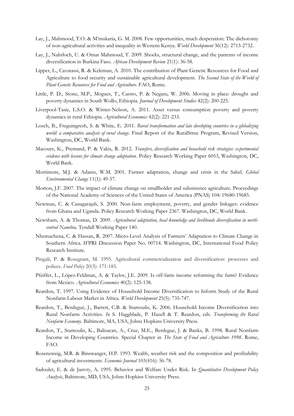- Lay, J., Mahmood, T.O. & M'mukaria, G. M. 2008. Few opportunities, much desperation: The dichotomy of non-agricultural activities and inequality in Western Kenya. *World Development* 36(12): 2713-2732.
- Lay, J., Nahrloch, U. & Omar Mahmoud, T. 2009. Shocks, structural change, and the patterns of income diversification in Burkina Faso. *African Development Review* 21(1): 36-58.
- Lipper, L., Cavatassi, R. & Keleman, A. 2010. The contribution of Plant Genetic Resources for Food and Agriculture to food security and sustainable agricultural development. *The Second State of the World of Plant Genetic Resources for Food and Agriculture*. FAO, Rome.
- Little, P. D., Stone, M.P., Mogues, T., Castro, P. & Negatu, W. 2006. Moving in place: drought and poverty dynamics in South Wollo, Ethiopia. *Journal of Development Studies* 42(2): 200-225.
- Liverpool-Tasie, L.S.O. & Winter-Nelson, A. 2011. Asset versus consumption poverty and poverty dynamics in rural Ethiopia. *Agricultural Economics* 42(2): 221-233.
- Losch, B., Freguingresh, S. & White, E. 2011. *Rural transformation and late developing countries in a globalizing world: a comparative analysis of rural change*. Final Report of the RuralStruc Program, Revised Version, Washington, DC, World Bank.
- Macours, K., Premand, P. & Vakis, R. 2012. *Transfers, diversification and household risk strategies: experimental evidence with lessons for climate change adaptation.* Policy Research Working Paper 6053, Washington, DC, World Bank.
- Mortimore, M.J. & Adams, W.M. 2001. Farmer adaptation, change and crisis in the Sahel. *Global Environmental Change* 11(1): 49-57.
- Morton, J.F. 2007. The impact of climate change on smallholder and subsistence agriculture. Proceedings of the National Academy of Sciences of the United States of America (PNAS) 104: 19680-19685.
- Newman, C. & Canagarajah, S. 2000. Non-farm employment, poverty, and gender linkages: evidence from Ghana and Uganda. Policy Research Working Paper 2367. Washington, DC, World Bank.
- Newsham, A. & Thomas, D. 2009. *Agricultural adaptation, local knowledge and livelihoods diversification in northcentral Namibia.* Tyndall Working Paper 140.
- Nhemachena, C. & Hassan, R. 2007. Micro-Level Analysis of Farmers' Adaptation to Climate Change in Southern Africa. IFPRI Discussion Paper No. 00714. Washington, DC, International Food Policy Research Institute.
- Pingali, P. & Rosegrant, M. 1995. Agricultural commercialization and diversification: processes and polices. *Food Policy* 20(3): 171-185.
- Pfeiffer, L., López-Feldman, A. & Taylor, J.E. 2009. Is off-farm income reforming the farm? Evidence from Mexico. *Agricultural Economics* 40(2): 125-138.
- Reardon, T. 1997. Using Evidence of Household Income Diversification to Inform Study of the Rural Nonfarm Labour Market in Africa. *World Development* 25(5): 735-747.
- Reardon, T., Berdegué, J., Barrett, C.B. & Stamoulis, K. 2006. Household Income Diversification into Rural Nonfarm Activities. *In* S. Haggblade, P. Hazell & T. Reardon, eds. *Transforming the Rural Nonfarm Economy*. Baltimore, MA, USA, Johns Hopkins University Press.
- Reardon, T., Stamoulis, K., Balisacan, A., Cruz, M.E., Berdegue, J. & Banks, B. 1998. Rural Nonfarm Income in Developing Countries. Special Chapter in *The State of Food and Agriculture 1998*. Rome, FAO.
- Rosenzweig, M.R. & Binswanger, H.P. 1993. Wealth, weather risk and the composition and profitability of agricultural investments. *Economic Journal* 103(416): 56-78.
- Sadoulet, E. & de Janvry, A. 1995. Behavior and Welfare Under Risk. In *Quantitative Development Policy Analysis*, Baltimore, MD, USA, Johns Hopkins University Press.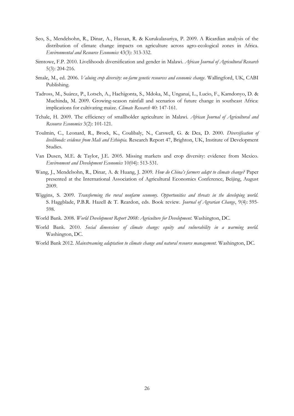- Seo, S., Mendelsohn, R., Dinar, A., Hassan, R. & Kurukulasuriya, P. 2009. A Ricardian analysis of the distribution of climate change impacts on agriculture across agro-ecological zones in Africa. *Environmental and Resource Economics* 43(3): 313-332.
- Simtowe, F.P. 2010. Livelihoods diversification and gender in Malawi. *African Journal of Agricultural Research* 5(3): 204-216.
- Smale, M., ed. 2006. *Valuing crop diversity: on-farm genetic resources and economic change*. Wallingford, UK, CABI Publishing.
- Tadross, M., Suárez, P., Lotsch, A., Hachigonta, S., Mdoka, M., Unganai, L., Lucio, F., Kamdonyo, D. & Muchinda, M. 2009. Growing-season rainfall and scenarios of future change in southeast Africa: implications for cultivating maize. *Climate Research* 40: 147-161.
- Tchale, H. 2009. The efficiency of smallholder agriculture in Malawi. *African Journal of Agricultural and Resource Economics* 3(2): 101-121.
- Toulmin, C., Leonard, R., Brock, K., Coulibaly, N., Carswell, G. & Dea, D. 2000. *Diversification of livelihoods: evidence from Mali and Ethiopia.* Research Report 47, Brighton, UK, Institute of Development Studies.
- Van Dusen, M.E. & Taylor, J.E. 2005. Missing markets and crop diversity: evidence from Mexico. *Environment and Development Economics* 10(04): 513-531.
- Wang, J., Mendelsohn, R., Dinar, A. & Huang, J. 2009. *How do China's farmers adapt to climate change?* Paper presented at the International Association of Agricultural Economics Conference, Beijing, August 2009.
- Wiggins, S. 2009. *Transforming the rural nonfarm economy. Opportunities and threats in the developing world.* S. Haggblade, P.B.R. Hazell & T. Reardon, eds. Book review. *Journal of Agrarian Change*, 9(4): 595- 598.
- World Bank. 2008. *World Development Report 2008: Agriculture for Development.* Washington, DC.
- World Bank. 2010. *Social dimensions of climate change: equity and vulnerability in a warming world.* Washington, DC.
- World Bank 2012. *Mainstreaming adaptation to climate change and natural resource management.* Washington, DC.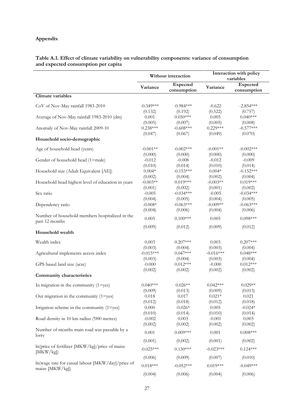## <span id="page-31-0"></span>**Appendix**

|                                                                      |                       | Without interaction     | Interaction with policy<br>variables |                                |  |
|----------------------------------------------------------------------|-----------------------|-------------------------|--------------------------------------|--------------------------------|--|
|                                                                      | Variance              | Expected<br>consumption | Variance                             | <b>Expected</b><br>consumption |  |
| Climate variables                                                    |                       |                         |                                      |                                |  |
| CoV of Nov-May rainfall 1983-2010                                    | $-0.349***$           | $-0.984***$             | $-0.622$                             | $-2.854***$                    |  |
|                                                                      | (0.132)               | (0.192)                 | (0.522)                              | (0.757)                        |  |
| Average of Nov-May rainfall 1983-2010 (dm)                           | 0.001                 | $0.050***$              | 0.005                                | $0.040***$                     |  |
|                                                                      | (0.005)               | (0.007)                 | (0.005)                              | (0.008)                        |  |
| Anomaly of Nov-May rainfall 2009-10                                  | $0.238***$<br>(0.047) | $-0.608***$<br>(0.067)  | $0.229***$<br>(0.049)                | $-0.577***$<br>(0.070)         |  |
| Household socio-demographic                                          |                       |                         |                                      |                                |  |
| Age of household head (years)                                        | $-0.001**$            | $-0.002$ ***            | $-0.001**$                           | $-0.002***$                    |  |
|                                                                      | (0.000)               | (0.000)                 | (0.000)                              | (0.000)                        |  |
| Gender of household head (1=male)                                    | $-0.012$              | $-0.008$                | $-0.012$                             | $-0.009$                       |  |
|                                                                      | (0.010)               | (0.014)                 | (0.010)                              | (0.014)                        |  |
| Household size (Adult Equivalent [AE])                               | $0.004*$              | $-0.153***$             | $0.004*$                             | $-0.152***$                    |  |
|                                                                      | (0.002)               | (0.004)                 | (0.002)                              | (0.004)                        |  |
| Household head highest level of education in years                   | $-0.003**$            | $0.019***$              | $-0.003**$                           | $0.019***$                     |  |
|                                                                      | (0.001)               | (0.002)                 | (0.001)                              | (0.002)                        |  |
| Sex ratio                                                            | $-0.005$              | $-0.034***$             | $-0.005$                             | $-0.034***$                    |  |
|                                                                      | (0.004)               | (0.005)                 | (0.004)                              | (0.005)                        |  |
| Dependency ratio                                                     | $-0.008*$             | $-0.063***$             | $-0.009**$                           | $-0.063***$                    |  |
|                                                                      | (0.004)               | (0.006)                 | (0.004)                              | (0.006)                        |  |
| Number of household members hospitalized in the<br>past 12 months    | 0.005                 | $0.100***$              | 0.005                                | $0.098***$                     |  |
|                                                                      | (0.009)               | (0.012)                 | (0.009)                              | (0.012)                        |  |
| Household wealth                                                     |                       |                         |                                      |                                |  |
| Wealth index                                                         | 0.003                 | $0.207***$              | 0.003                                | $0.207***$                     |  |
|                                                                      | (0.003)               | (0.004)                 | (0.003)                              | (0.004)                        |  |
| Agricultural implements access index                                 | $-0.015***$           | $0.047***$              | $-0.016***$                          | $0.048***$                     |  |
|                                                                      | (0.003)               | (0.004)                 | (0.003)                              | (0.004)                        |  |
| GPS based land size (acre)                                           | $-0.000$              | $0.012***$              | $-0.000$                             | $0.012***$                     |  |
|                                                                      | (0.002)               | (0.002)                 | (0.002)                              | (0.002)                        |  |
| Community characteristics                                            |                       |                         |                                      |                                |  |
| In migration in the community $(1 = yes)$                            | $0.040***$            | $0.026**$               | $0.042***$                           | $0.029**$                      |  |
|                                                                      | (0.009)               | (0.013)                 | (0.009)                              | (0.013)                        |  |
| Out migration in the community $(1 = yes)$                           | 0.018                 | 0.017                   | $0.021*$                             | 0.021                          |  |
|                                                                      | (0.012)               | (0.018)                 | (0.012)                              | (0.018)                        |  |
| Irrigation scheme in the community $(1 = yes)$                       | $0.000\,$             | $-0.026*$               | 0.005                                | $-0.024*$                      |  |
|                                                                      | (0.010)               | (0.014)                 | (0.010)                              | (0.014)                        |  |
| Road density in 10 km radius ('000 metres)                           | $-0.002$              | 0.003                   | $-0.001$                             | 0.003                          |  |
|                                                                      | (0.002)               | (0.002)                 | (0.002)                              | (0.002)                        |  |
| Number of months main road was passable by a<br>lorry                | 0.001                 | $0.009***$              | 0.001                                | $0.008***$                     |  |
|                                                                      | (0.001)               | (0.002)                 | (0.001)                              | (0.002)                        |  |
| ln(price of fertilizer [MKW/kg]/price of maize<br>[MKW/kg]           | $-0.025***$           | $0.130***$              | $-0.023***$                          | $0.124***$                     |  |
|                                                                      | (0.006)               | (0.009)                 | (0.007)                              | (0.010)                        |  |
| ln(wage rate for casual labour [MKW/day]/price of<br>maize [MKW/kg]) | $0.018***$            | $-0.052***$             | $0.019***$                           | $-0.049***$                    |  |
|                                                                      | (0.004)               | (0.006)                 | (0.004)                              | (0.006)                        |  |

#### **Table A.1. Effect of climate variability on vulnerability components: variance of consumption and expected consumption per capita**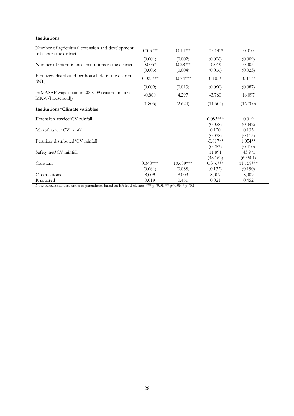#### **Institutions**

| Number of agricultural extension and development<br>officers in the district | $0.003***$  | $0.014***$ | $-0.014**$ | 0.010     |
|------------------------------------------------------------------------------|-------------|------------|------------|-----------|
|                                                                              | (0.001)     | (0.002)    | (0.006)    | (0.009)   |
| Number of microfinance institutions in the district                          | $0.005*$    | $0.028***$ | $-0.019$   | 0.003     |
|                                                                              | (0.003)     | (0.004)    | (0.016)    | (0.023)   |
| Fertilizers distributed per household in the district<br>(MT)                | $-0.025***$ | $0.074***$ | $0.105*$   | $-0.147*$ |
|                                                                              | (0.009)     | (0.013)    | (0.060)    | (0.087)   |
| ln(MASAF wages paid in 2008-09 season [million]<br>MKW/household])           | $-0.880$    | 4.297      | $-3.760$   | 16.097    |
|                                                                              | (1.806)     | (2.624)    | (11.604)   | (16.700)  |
| Institutions*Climate variables                                               |             |            |            |           |
| Extension service*CV rainfall                                                |             |            | $0.083***$ | 0.019     |
|                                                                              |             |            | (0.028)    | (0.042)   |
| Microfinance*CV rainfall                                                     |             |            | 0.120      | 0.133     |
|                                                                              |             |            | (0.078)    | (0.113)   |
| Fertilizer distributed*CV rainfall                                           |             |            | $-0.617**$ | $1.054**$ |
|                                                                              |             |            | (0.283)    | (0.410)   |
| Safety-net*CV rainfall                                                       |             |            | 11.891     | $-43.975$ |
|                                                                              |             |            | (48.162)   | (69.501)  |
| Constant                                                                     | $0.348***$  | 10.689***  | $0.346***$ | 11.158*** |
|                                                                              | (0.061)     | (0.088)    | (0.132)    | (0.190)   |
| Observations                                                                 | 8,009       | 8,009      | 8,009      | 8,009     |
| R-squared                                                                    | 0.019       | 0.451      | 0.021      | 0.452     |

Note: Robust standard errors in parentheses based on EA level clusters. \*\*\*  $p<0.01$ , \*\*  $p<0.05$ , \*  $p<0.1$ .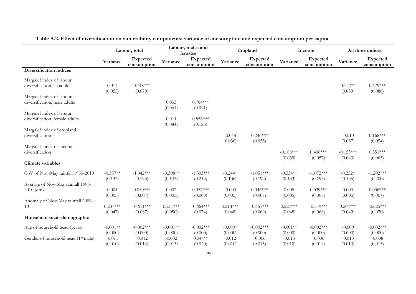|                                             | Labour, total       |                         | Labour, males and<br>females |                         | Cropland            |                         | Income              |                         | All three indices    |                         |
|---------------------------------------------|---------------------|-------------------------|------------------------------|-------------------------|---------------------|-------------------------|---------------------|-------------------------|----------------------|-------------------------|
|                                             | Variance            | Expected<br>consumption | Variance                     | Expected<br>consumption | Variance            | Expected<br>consumption | Variance            | Expected<br>consumption | Variance             | Expected<br>consumption |
| Diversification indices                     |                     |                         |                              |                         |                     |                         |                     |                         |                      |                         |
| Margalef index of labour                    |                     |                         |                              |                         |                     |                         |                     |                         |                      |                         |
| diversification, all adults                 | 0.013<br>(0.055)    | $0.718***$<br>(0.079)   |                              |                         |                     |                         |                     |                         | $0.152**$<br>(0.059) | $0.679***$<br>(0.086)   |
| Margalef index of labour                    |                     |                         |                              |                         |                     |                         |                     |                         |                      |                         |
| diversification, male adults                |                     |                         | 0.033                        | $0.784***$              |                     |                         |                     |                         |                      |                         |
| Margalef index of labour                    |                     |                         | (0.061)                      | (0.091)                 |                     |                         |                     |                         |                      |                         |
| diversification, female adults              |                     |                         | 0.014                        | $0.556***$              |                     |                         |                     |                         |                      |                         |
| Margalef index of cropland                  |                     |                         | (0.084)                      | (0.123)                 |                     |                         |                     |                         |                      |                         |
| diversification                             |                     |                         |                              |                         | $-0.048$            | $0.246***$              |                     |                         | $-0.010$             | $0.168***$              |
|                                             |                     |                         |                              |                         | (0.036)             | (0.053)                 |                     |                         | (0.037)              | (0.054)                 |
| Margalef index of income<br>diversification |                     |                         |                              |                         |                     |                         | $-0.188***$         | $0.406***$              | $-0.155***$          | $0.351***$              |
|                                             |                     |                         |                              |                         |                     |                         | (0.039)             | (0.057)                 | (0.043)              | (0.063)                 |
| Climate variables                           |                     |                         |                              |                         |                     |                         |                     |                         |                      |                         |
| CoV of Nov-May rainfall 1983-2010           | $-0.337**$          | $-1.042***$             | $-0.308**$                   | $-1.303***$             | $-0.244*$           | $-1.051***$             | $-0.334**$          | $-1.072***$             | $-0.252*$            | $-1.202***$             |
| Average of Nov-May rainfall 1983-           | (0.132)             | (0.193)                 | (0.143)                      | (0.213)                 | (0.136)             | (0.199)                 | (0.133)             | (0.195)                 | (0.135)              | (0.200)                 |
| $2010$ (dm)                                 | 0.001               | $0.050***$              | 0.002                        | $0.057***$              | $-0.003$            | $0.046***$              | 0.005               | $0.039***$              | 0.000                | $0.036***$              |
| Anomaly of Nov-May rainfall 2009-           | (0.005)             | (0.007)                 | (0.005)                      | (0.008)                 | (0.005)             | (0.007)                 | (0.005)             | (0.007)                 | (0.005)              | (0.007)                 |
| 10                                          | $0.237***$          | $-0.611***$             | $0.211***$                   | $-0.664***$             | $0.214***$          | $-0.651***$             | $0.224***$          | $-0.579***$             | $0.204***$           | $-0.625***$             |
|                                             | (0.047)             | (0.067)                 | (0.050)                      | (0.074)                 | (0.048)             | (0.069)                 | (0.048)             | (0.068)                 | (0.049)              | (0.070)                 |
| Household socio-demographic                 |                     |                         |                              |                         |                     |                         |                     |                         |                      |                         |
| Age of household head (years)               | $-0.001**$          | $-0.002***$             | $-0.001**$                   | $-0.002***$             | $-0.000*$           | $-0.002***$             | $-0.001**$          | $-0.002***$             | $-0.000$             | $-0.002***$             |
| Gender of household head (1=male)           | (0.000)<br>$-0.011$ | (0.000)<br>$-0.012$     | (0.000)<br>$-0.002$          | (0.000)<br>$0.044**$    | (0.000)<br>$-0.012$ | (0.000)<br>$-0.006$     | (0.000)<br>$-0.013$ | (0.000)<br>$-0.006$     | (0.000)<br>$-0.013$  | (0.000)<br>$-0.008$     |
|                                             | (0.010)             | (0.014)                 | (0.013)                      | (0.020)                 | (0.010)             | (0.015)                 | (0.010)             | (0.014)                 | (0.010)              | (0.015)                 |

**Table A.2. Effect of diversification on vulnerability components: variance of consumption and expected consumption per capita**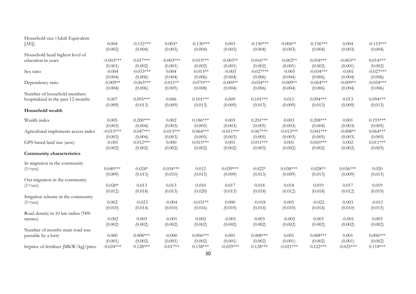| Household size (Adult Equivalent      |             |             |             |             |             |             |             |             |             |             |
|---------------------------------------|-------------|-------------|-------------|-------------|-------------|-------------|-------------|-------------|-------------|-------------|
| [AE]                                  | 0.004       | $-0.152***$ | $0.005*$    | $-0.130***$ | 0.003       | $-0.150***$ | $0.006**$   | $-0.156***$ | 0.004       | $-0.153***$ |
|                                       | (0.002)     | (0.004)     | (0.003)     | (0.004)     | (0.003)     | (0.004)     | (0.003)     | (0.004)     | (0.003)     | (0.004)     |
| Household head highest level of       |             |             |             |             |             |             |             |             |             |             |
| education in years                    | $-0.003***$ | $0.017***$  | $-0.003***$ | $0.015***$  | $-0.003**$  | $0.016***$  | $-0.002**$  | $0.018***$  | $-0.003**$  | $0.014***$  |
|                                       | (0.001)     | (0.002)     | (0.001)     | (0.002)     | (0.001)     | (0.002)     | (0.001)     | (0.002)     | (0.001)     | (0.002)     |
| Sex ratio                             | $-0.004$    | $-0.033***$ | 0.004       | $-0.013**$  | $-0.003$    | $-0.027***$ | $-0.005$    | $-0.034***$ | $-0.001$    | $-0.027***$ |
|                                       | (0.004)     | (0.006)     | (0.004)     | (0.006)     | (0.004)     | (0.006)     | (0.004)     | (0.006)     | (0.004)     | (0.006)     |
| Dependency ratio                      | $-0.009**$  | $-0.063***$ | $-0.011**$  | $-0.070***$ | $-0.009**$  | $-0.054***$ | $-0.009**$  | $-0.064***$ | $-0.009**$  | $-0.054***$ |
|                                       | (0.004)     | (0.006)     | (0.005)     | (0.008)     | (0.004)     | (0.006)     | (0.004)     | (0.006)     | (0.004)     | (0.006)     |
| Number of household members           |             |             |             |             |             |             |             |             |             |             |
| hospitalized in the past 12 months    | 0.007       | $0.095***$  | $0.006\,$   | $0.101***$  | 0.009       | $0.101***$  | 0.011       | $0.094***$  | 0.013       | $0.094***$  |
|                                       | (0.009)     | (0.013)     | (0.009)     | (0.013)     | (0.009)     | (0.013)     | (0.009)     | (0.013)     | (0.009)     | (0.013)     |
| Household wealth                      |             |             |             |             |             |             |             |             |             |             |
| Wealth index                          | 0.005       | $0.200***$  | 0.002       | $0.186***$  | 0.003       | $0.201***$  | 0.003       | $0.208***$  | 0.001       | $0.193***$  |
|                                       | (0.003)     | (0.004)     | (0.003)     | (0.005)     | (0.003)     | (0.005)     | (0.003)     | (0.004)     | (0.003)     | (0.005)     |
| Agricultural implements access index  | $-0.015***$ | $0.047***$  | $-0.013***$ | $0.064***$  | $-0.011***$ | $0.067***$  | $-0.013***$ | $0.041***$  | $-0.008**$  | $0.064***$  |
|                                       | (0.003)     | (0.004)     | (0.003)     | (0.005)     | (0.003)     | (0.005)     | (0.003)     | (0.005)     | (0.003)     | (0.005)     |
| GPS based land size (acre)            | $-0.001$    | $0.012***$  | $0.000\,$   | $0.015***$  | 0.001       | $0.011***$  | 0.001       | $0.010***$  | 0.002       | $0.011***$  |
|                                       | (0.002)     | (0.002)     | (0.002)     | (0.002)     | (0.002)     | (0.003)     | (0.002)     | (0.002)     | (0.002)     | (0.003)     |
| Community characteristics             |             |             |             |             |             |             |             |             |             |             |
|                                       |             |             |             |             |             |             |             |             |             |             |
| In migration in the community         |             |             |             |             |             |             |             |             |             |             |
| $(1 = yes)$                           | $0.040***$  | $0.024*$    | $0.034***$  | 0.012       | $0.039***$  | $0.022*$    | $0.038***$  | $0.028**$   | $0.036***$  | 0.020       |
|                                       | (0.009)     | (0.013)     | (0.010)     | (0.015)     | (0.009)     | (0.013)     | (0.009)     | (0.013)     | (0.009)     | (0.013)     |
| Out migration in the community        |             |             |             |             |             |             |             |             |             |             |
| $(1 = yes)$                           | $0.020*$    | 0.013       | 0.013       | 0.010       | 0.017       | $0.018\,$   | $0.018\,$   | 0.019       | 0.017       | 0.019       |
|                                       | (0.012)     | (0.018)     | (0.013)     | (0.020)     | (0.013)     | (0.018)     | (0.012)     | (0.018)     | (0.012)     | (0.019)     |
| Irrigation scheme in the community    |             |             |             |             |             |             |             |             |             |             |
| $(1 = yes)$                           | 0.002       | $-0.023$    | $-0.004$    | $-0.031**$  | 0.000       | $-0.018$    | 0.001       | $-0.022$    | 0.003       | $-0.011$    |
|                                       | (0.010)     | (0.014)     | (0.010)     | (0.016)     | (0.010)     | (0.014)     | (0.010)     | (0.014)     | (0.010)     | (0.015)     |
| Road density in 10 km radius ('000    |             |             |             |             |             |             |             |             |             |             |
| metres)                               | $-0.002$    | 0.003       | $-0.001$    | 0.002       | $-0.001$    | 0.003       | $-0.002$    | 0.003       | $-0.001$    | 0.003       |
|                                       | (0.002)     | (0.002)     | (0.002)     | (0.002)     | (0.002)     | (0.002)     | (0.002)     | (0.002)     | (0.002)     | (0.002)     |
| Number of months main road was        |             |             |             |             |             |             |             |             |             |             |
| passable by a lorry                   | 0.000       | $0.008***$  | $-0.000$    | $0.006***$  | 0.001       | $0.008***$  | 0.001       | $0.008***$  | 0.001       | $0.006***$  |
|                                       | (0.001)     | (0.002)     | (0.001)     | (0.002)     | (0.001)     | (0.002)     | (0.001)     | (0.002)     | (0.001)     | (0.002)     |
| ln(price of fertilizer [MKW/kg]/price | $-0.024***$ | $0.128***$  | $-0.017**$  | $0.138***$  | $-0.029***$ | $0.128***$  | $-0.021***$ | $0.122***$  | $-0.025***$ | $0.118***$  |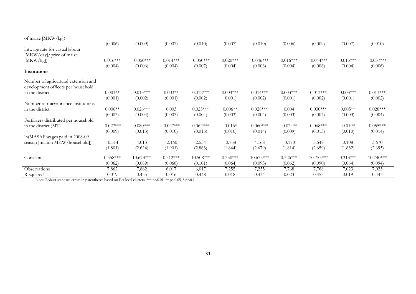| of maize [MKW/kg])                                                      | (0.006)     | (0.009)     | (0.007)     | (0.010)     | (0.007)    | (0.010)     | (0.006)    | (0.009)     | (0.007)    | (0.010)     |
|-------------------------------------------------------------------------|-------------|-------------|-------------|-------------|------------|-------------|------------|-------------|------------|-------------|
| In (wage rate for casual labour<br>[MKW/day]/price of maize<br>[MKW/kg] | $0.016***$  | $-0.050***$ | $0.014***$  | $-0.050***$ | $0.020***$ | $-0.046***$ | $0.016***$ | $-0.044***$ | $0.015***$ | $-0.037***$ |
| Institutions                                                            | (0.004)     | (0.006)     | (0.004)     | (0.007)     | (0.004)    | (0.006)     | (0.004)    | (0.006)     | (0.004)    | (0.006)     |
| Number of agricultural extension and                                    |             |             |             |             |            |             |            |             |            |             |
| development officers per household                                      |             |             |             |             |            |             |            |             |            |             |
| in the district                                                         | $0.003**$   | $0.013***$  | $0.003**$   | $0.012***$  | $0.003***$ | $0.014***$  | $0.003***$ | $0.013***$  | $0.003***$ | $0.013***$  |
|                                                                         | (0.001)     | (0.002)     | (0.001)     | (0.002)     | (0.001)    | (0.002)     | (0.001)    | (0.002)     | (0.001)    | (0.002)     |
| Number of microfinance institutions                                     |             |             |             |             |            |             |            |             |            |             |
| in the district                                                         | $0.006**$   | $0.026***$  | 0.003       | $0.025***$  | $0.006**$  | $0.028***$  | 0.004      | $0.030***$  | $0.005**$  | $0.028***$  |
|                                                                         | (0.003)     | (0.004)     | (0.003)     | (0.004)     | (0.003)    | (0.004)     | (0.003)    | (0.004)     | (0.003)    | (0.004)     |
| Fertilizers distributed per household                                   |             |             |             |             |            |             |            |             |            |             |
| in the district (MT)                                                    | $-0.027***$ | $0.080***$  | $-0.027***$ | $0.062***$  | $-0.016*$  | $0.060***$  | $-0.024**$ | $0.068***$  | $-0.019*$  | $0.055***$  |
|                                                                         | (0.009)     | (0.013)     | (0.010)     | (0.015)     | (0.010)    | (0.014)     | (0.009)    | (0.013)     | (0.010)    | (0.014)     |
| ln(MASAF wages paid in 2008-09                                          |             |             |             |             |            |             |            |             |            |             |
| season [million MKW/household])                                         | $-0.514$    | 4.013       | $-2.160$    | 2.534       | $-0.758$   | 4.168       | $-0.170$   | 3.548       | 0.108      | 3.670       |
|                                                                         | (1.801)     | (2.624)     | (1.901)     | (2.863)     | (1.844)    | (2.679)     | (1.814)    | (2.659)     | (1.832)    | (2.695)     |
| Constant                                                                | $0.358***$  | $10.673***$ | $0.312***$  | 10.508***   | $0.330***$ | $10.673***$ | $0.326***$ | 10.755***   | $0.313***$ | $10.740***$ |
|                                                                         | (0.062)     | (0.089)     | (0.068)     | (0.101)     | (0.064)    | (0.093)     | (0.062)    | (0.090)     | (0.064)    | (0.094)     |
| Observations                                                            | 7,862       | 7,862       | 6,017       | 6,017       | 7,255      | 7,255       | 7,768      | 7,768       | 7,023      | 7,023       |
| R-squared                                                               | 0.019       | 0.455       | 0.016       | 0.448       | 0.018      | 0.434       | 0.023      | 0.453       | 0.019      | 0.443       |

Note: Robust standard errors in parentheses based on EA level clusters. \*\*\*  $p<0.01$ , \*\*  $p<0.05$ , \*  $p<0.1$